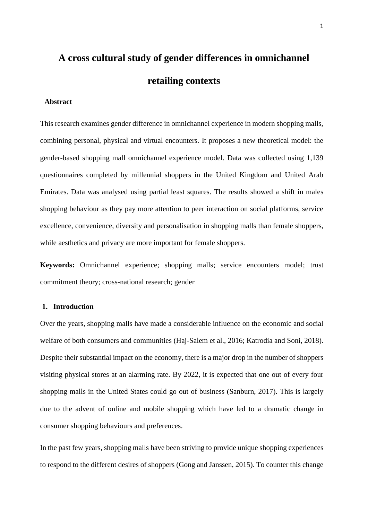# **A cross cultural study of gender differences in omnichannel retailing contexts**

# **Abstract**

This research examines gender difference in omnichannel experience in modern shopping malls, combining personal, physical and virtual encounters. It proposes a new theoretical model: the gender-based shopping mall omnichannel experience model. Data was collected using 1,139 questionnaires completed by millennial shoppers in the United Kingdom and United Arab Emirates. Data was analysed using partial least squares. The results showed a shift in males shopping behaviour as they pay more attention to peer interaction on social platforms, service excellence, convenience, diversity and personalisation in shopping malls than female shoppers, while aesthetics and privacy are more important for female shoppers.

**Keywords:** Omnichannel experience; shopping malls; service encounters model; trust commitment theory; cross-national research; gender

# **1. Introduction**

Over the years, shopping malls have made a considerable influence on the economic and social welfare of both consumers and communities (Haj-Salem et al., 2016; Katrodia and Soni, 2018). Despite their substantial impact on the economy, there is a major drop in the number of shoppers visiting physical stores at an alarming rate. By 2022, it is expected that one out of every four shopping malls in the United States could go out of business (Sanburn, 2017). This is largely due to the advent of online and mobile shopping which have led to a dramatic change in consumer shopping behaviours and preferences.

In the past few years, shopping malls have been striving to provide unique shopping experiences to respond to the different desires of shoppers (Gong and Janssen, 2015). To counter this change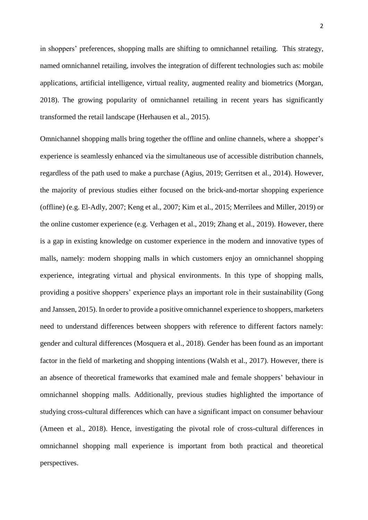in shoppers' preferences, shopping malls are shifting to omnichannel retailing. This strategy, named omnichannel retailing, involves the integration of different technologies such as: mobile applications, artificial intelligence, virtual reality, augmented reality and biometrics (Morgan, 2018). The growing popularity of omnichannel retailing in recent years has significantly transformed the retail landscape (Herhausen et al., 2015).

Omnichannel shopping malls bring together the offline and online channels, where a shopper's experience is seamlessly enhanced via the simultaneous use of accessible distribution channels, regardless of the path used to make a purchase (Agius, 2019; Gerritsen et al., 2014). However, the majority of previous studies either focused on the brick-and-mortar shopping experience (offline) (e.g. El-Adly, 2007; Keng et al., 2007; Kim et al., 2015; Merrilees and Miller, 2019) or the online customer experience (e.g. Verhagen et al., 2019; Zhang et al., 2019). However, there is a gap in existing knowledge on customer experience in the modern and innovative types of malls, namely: modern shopping malls in which customers enjoy an omnichannel shopping experience, integrating virtual and physical environments. In this type of shopping malls, providing a positive shoppers' experience plays an important role in their sustainability (Gong and Janssen, 2015). In order to provide a positive omnichannel experience to shoppers, marketers need to understand differences between shoppers with reference to different factors namely: gender and cultural differences (Mosquera et al., 2018). Gender has been found as an important factor in the field of marketing and shopping intentions (Walsh et al., 2017). However, there is an absence of theoretical frameworks that examined male and female shoppers' behaviour in omnichannel shopping malls. Additionally, previous studies highlighted the importance of studying cross-cultural differences which can have a significant impact on consumer behaviour (Ameen et al., 2018). Hence, investigating the pivotal role of cross-cultural differences in omnichannel shopping mall experience is important from both practical and theoretical perspectives.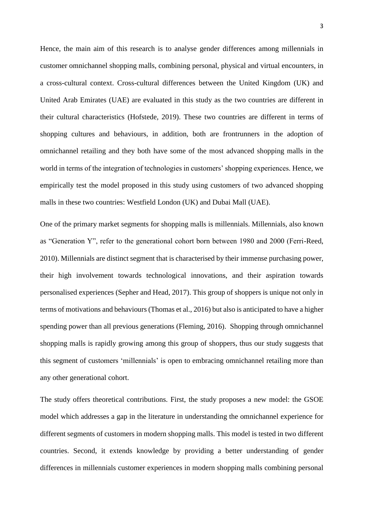Hence, the main aim of this research is to analyse gender differences among millennials in customer omnichannel shopping malls, combining personal, physical and virtual encounters, in a cross-cultural context. Cross-cultural differences between the United Kingdom (UK) and United Arab Emirates (UAE) are evaluated in this study as the two countries are different in their cultural characteristics (Hofstede, 2019). These two countries are different in terms of shopping cultures and behaviours, in addition, both are frontrunners in the adoption of omnichannel retailing and they both have some of the most advanced shopping malls in the world in terms of the integration of technologies in customers' shopping experiences. Hence, we empirically test the model proposed in this study using customers of two advanced shopping malls in these two countries: Westfield London (UK) and Dubai Mall (UAE).

One of the primary market segments for shopping malls is millennials. Millennials, also known as "Generation Y", refer to the generational cohort born between 1980 and 2000 (Ferri-Reed, 2010). Millennials are distinct segment that is characterised by their immense purchasing power, their high involvement towards technological innovations, and their aspiration towards personalised experiences (Sepher and Head, 2017). This group of shoppers is unique not only in terms of motivations and behaviours (Thomas et al., 2016) but also is anticipated to have a higher spending power than all previous generations (Fleming, 2016). Shopping through omnichannel shopping malls is rapidly growing among this group of shoppers, thus our study suggests that this segment of customers 'millennials' is open to embracing omnichannel retailing more than any other generational cohort.

The study offers theoretical contributions. First, the study proposes a new model: the GSOE model which addresses a gap in the literature in understanding the omnichannel experience for different segments of customers in modern shopping malls. This model is tested in two different countries. Second, it extends knowledge by providing a better understanding of gender differences in millennials customer experiences in modern shopping malls combining personal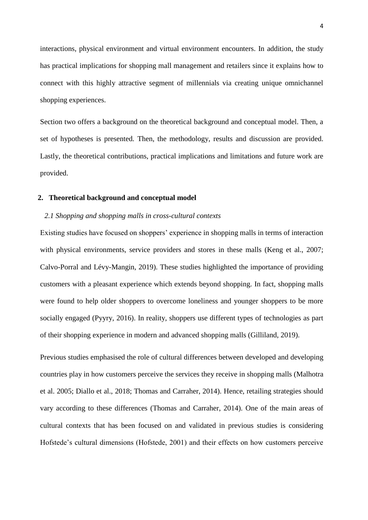interactions, physical environment and virtual environment encounters. In addition, the study has practical implications for shopping mall management and retailers since it explains how to connect with this highly attractive segment of millennials via creating unique omnichannel shopping experiences.

Section two offers a background on the theoretical background and conceptual model. Then, a set of hypotheses is presented. Then, the methodology, results and discussion are provided. Lastly, the theoretical contributions, practical implications and limitations and future work are provided.

# **2. Theoretical background and conceptual model**

# *2.1 Shopping and shopping malls in cross-cultural contexts*

Existing studies have focused on shoppers' experience in shopping malls in terms of interaction with physical environments, service providers and stores in these malls (Keng et al., 2007; Calvo-Porral and Lévy-Mangin, 2019). These studies highlighted the importance of providing customers with a pleasant experience which extends beyond shopping. In fact, shopping malls were found to help older shoppers to overcome loneliness and younger shoppers to be more socially engaged (Pyyry, 2016). In reality, shoppers use different types of technologies as part of their shopping experience in modern and advanced shopping malls (Gilliland, 2019).

Previous studies emphasised the role of cultural differences between developed and developing countries play in how customers perceive the services they receive in shopping malls (Malhotra et al. 2005; Diallo et al., 2018; Thomas and Carraher, 2014). Hence, retailing strategies should vary according to these differences (Thomas and Carraher, 2014). One of the main areas of cultural contexts that has been focused on and validated in previous studies is considering Hofstede's cultural dimensions (Hofstede, 2001) and their effects on how customers perceive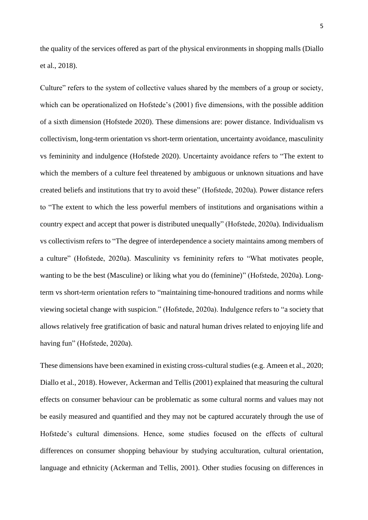the quality of the services offered as part of the physical environments in shopping malls (Diallo et al., 2018).

Culture" refers to the system of collective values shared by the members of a group or society, which can be operationalized on Hofstede's (2001) five dimensions, with the possible addition of a sixth dimension (Hofstede 2020). These dimensions are: power distance. Individualism vs collectivism, long-term orientation vs short-term orientation, uncertainty avoidance, masculinity vs femininity and indulgence (Hofstede 2020). Uncertainty avoidance refers to "The extent to which the members of a culture feel threatened by ambiguous or unknown situations and have created beliefs and institutions that try to avoid these" (Hofstede, 2020a). Power distance refers to "The extent to which the less powerful members of institutions and organisations within a country expect and accept that power is distributed unequally" (Hofstede, 2020a). Individualism vs collectivism refers to "The degree of interdependence a society maintains among members of a culture" (Hofstede, 2020a). Masculinity vs femininity refers to "What motivates people, wanting to be the best (Masculine) or liking what you do (feminine)" (Hofstede, 2020a). Longterm vs short-term orientation refers to "maintaining time-honoured traditions and norms while viewing societal change with suspicion." (Hofstede, 2020a). Indulgence refers to "a society that allows relatively free gratification of basic and natural human drives related to enjoying life and having fun" (Hofstede, 2020a).

These dimensions have been examined in existing cross-cultural studies (e.g. Ameen et al., 2020; Diallo et al., 2018). However, Ackerman and Tellis (2001) explained that measuring the cultural effects on consumer behaviour can be problematic as some cultural norms and values may not be easily measured and quantified and they may not be captured accurately through the use of Hofstede's cultural dimensions. Hence, some studies focused on the effects of cultural differences on consumer shopping behaviour by studying acculturation, cultural orientation, language and ethnicity (Ackerman and Tellis, 2001). Other studies focusing on differences in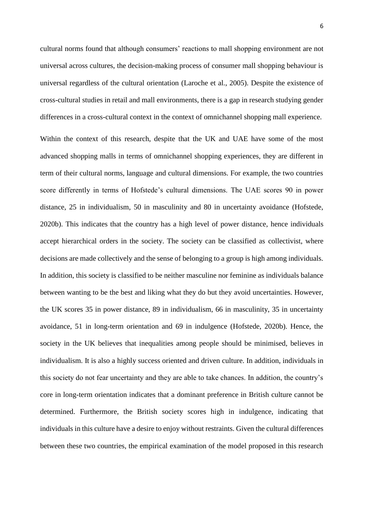cultural norms found that although consumers' reactions to mall shopping environment are not universal across cultures, the decision-making process of consumer mall shopping behaviour is universal regardless of the cultural orientation (Laroche et al., 2005). Despite the existence of cross-cultural studies in retail and mall environments, there is a gap in research studying gender differences in a cross-cultural context in the context of omnichannel shopping mall experience.

Within the context of this research, despite that the UK and UAE have some of the most advanced shopping malls in terms of omnichannel shopping experiences, they are different in term of their cultural norms, language and cultural dimensions. For example, the two countries score differently in terms of Hofstede's cultural dimensions. The UAE scores 90 in power distance, 25 in individualism, 50 in masculinity and 80 in uncertainty avoidance (Hofstede, 2020b). This indicates that the country has a high level of power distance, hence individuals accept hierarchical orders in the society. The society can be classified as collectivist, where decisions are made collectively and the sense of belonging to a group is high among individuals. In addition, this society is classified to be neither masculine nor feminine as individuals balance between wanting to be the best and liking what they do but they avoid uncertainties. However, the UK scores 35 in power distance, 89 in individualism, 66 in masculinity, 35 in uncertainty avoidance, 51 in long-term orientation and 69 in indulgence (Hofstede, 2020b). Hence, the society in the UK believes that inequalities among people should be minimised, believes in individualism. It is also a highly success oriented and driven culture. In addition, individuals in this society do not fear uncertainty and they are able to take chances. In addition, the country's core in long-term orientation indicates that a dominant preference in British culture cannot be determined. Furthermore, the British society scores high in indulgence, indicating that individuals in this culture have a desire to enjoy without restraints. Given the cultural differences between these two countries, the empirical examination of the model proposed in this research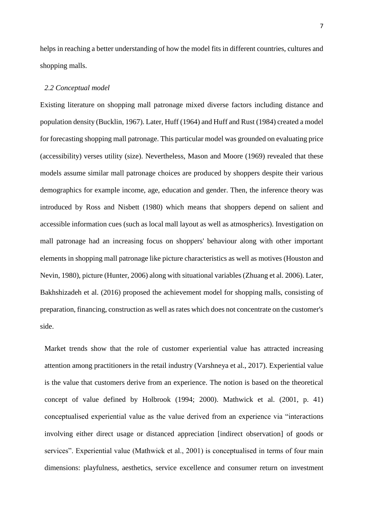helps in reaching a better understanding of how the model fits in different countries, cultures and shopping malls.

# *2.2 Conceptual model*

Existing literature on shopping mall patronage mixed diverse factors including distance and population density (Bucklin, 1967). Later, Huff (1964) and Huff and Rust (1984) created a model for forecasting shopping mall patronage. This particular model was grounded on evaluating price (accessibility) verses utility (size). Nevertheless, Mason and Moore (1969) revealed that these models assume similar mall patronage choices are produced by shoppers despite their various demographics for example income, age, education and gender. Then, the inference theory was introduced by Ross and Nisbett (1980) which means that shoppers depend on salient and accessible information cues (such as local mall layout as well as atmospherics). Investigation on mall patronage had an increasing focus on shoppers' behaviour along with other important elements in shopping mall patronage like picture characteristics as well as motives (Houston and Nevin, 1980), picture (Hunter, 2006) along with situational variables (Zhuang et al. 2006). Later, Bakhshizadeh et al. (2016) proposed the achievement model for shopping malls, consisting of preparation, financing, construction as well as rates which does not concentrate on the customer's side.

Market trends show that the role of customer experiential value has attracted increasing attention among practitioners in the retail industry (Varshneya et al., 2017). Experiential value is the value that customers derive from an experience. The notion is based on the theoretical concept of value defined by Holbrook (1994; 2000). Mathwick et al. (2001, p. 41) conceptualised experiential value as the value derived from an experience via "interactions involving either direct usage or distanced appreciation [indirect observation] of goods or services". Experiential value (Mathwick et al., 2001) is conceptualised in terms of four main dimensions: playfulness, aesthetics, service excellence and consumer return on investment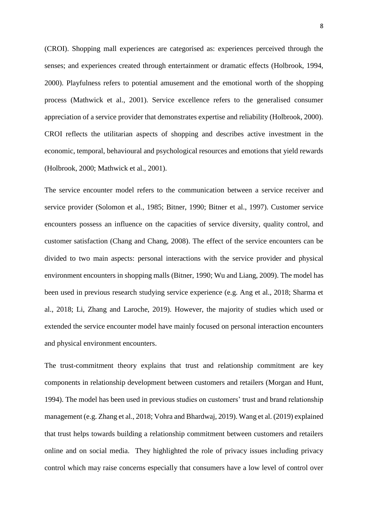(CROI). Shopping mall experiences are categorised as: experiences perceived through the senses; and experiences created through entertainment or dramatic effects (Holbrook, 1994, 2000). Playfulness refers to potential amusement and the emotional worth of the shopping process (Mathwick et al., 2001). Service excellence refers to the generalised consumer appreciation of a service provider that demonstrates expertise and reliability (Holbrook, 2000). CROI reflects the utilitarian aspects of shopping and describes active investment in the economic, temporal, behavioural and psychological resources and emotions that yield rewards (Holbrook, 2000; Mathwick et al., 2001).

The service encounter model refers to the communication between a service receiver and service provider (Solomon et al., 1985; Bitner, 1990; Bitner et al., 1997). Customer service encounters possess an influence on the capacities of service diversity, quality control, and customer satisfaction (Chang and Chang, 2008). The effect of the service encounters can be divided to two main aspects: personal interactions with the service provider and physical environment encounters in shopping malls (Bitner, 1990; Wu and Liang, 2009). The model has been used in previous research studying service experience (e.g. Ang et al., 2018; Sharma et al., 2018; Li, Zhang and Laroche, 2019). However, the majority of studies which used or extended the service encounter model have mainly focused on personal interaction encounters and physical environment encounters.

The trust-commitment theory explains that trust and relationship commitment are key components in relationship development between customers and retailers (Morgan and Hunt, 1994). The model has been used in previous studies on customers' trust and brand relationship management (e.g. Zhang et al., 2018; Vohra and Bhardwaj, 2019). Wang et al. (2019) explained that trust helps towards building a relationship commitment between customers and retailers online and on social media. They highlighted the role of privacy issues including privacy control which may raise concerns especially that consumers have a low level of control over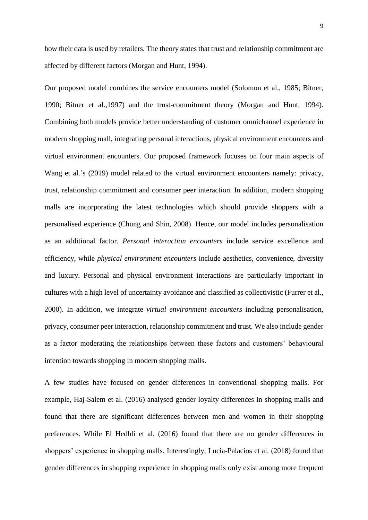how their data is used by retailers. The theory states that trust and relationship commitment are affected by different factors (Morgan and Hunt, 1994).

Our proposed model combines the service encounters model (Solomon et al., 1985; Bitner, 1990; Bitner et al.,1997) and the trust-commitment theory (Morgan and Hunt, 1994). Combining both models provide better understanding of customer omnichannel experience in modern shopping mall, integrating personal interactions, physical environment encounters and virtual environment encounters. Our proposed framework focuses on four main aspects of Wang et al.'s (2019) model related to the virtual environment encounters namely: privacy, trust, relationship commitment and consumer peer interaction. In addition, modern shopping malls are incorporating the latest technologies which should provide shoppers with a personalised experience (Chung and Shin, 2008). Hence, our model includes personalisation as an additional factor. *Personal interaction encounters* include service excellence and efficiency, while *physical environment encounters* include aesthetics, convenience, diversity and luxury. Personal and physical environment interactions are particularly important in cultures with a high level of uncertainty avoidance and classified as collectivistic (Furrer et al., 2000). In addition, we integrate *virtual environment encounters* including personalisation, privacy, consumer peer interaction, relationship commitment and trust. We also include gender as a factor moderating the relationships between these factors and customers' behavioural intention towards shopping in modern shopping malls.

A few studies have focused on gender differences in conventional shopping malls. For example, Haj-Salem et al. (2016) analysed gender loyalty differences in shopping malls and found that there are significant differences between men and women in their shopping preferences. While El Hedhli et al. (2016) found that there are no gender differences in shoppers' experience in shopping malls. Interestingly, Lucia-Palacios et al. (2018) found that gender differences in shopping experience in shopping malls only exist among more frequent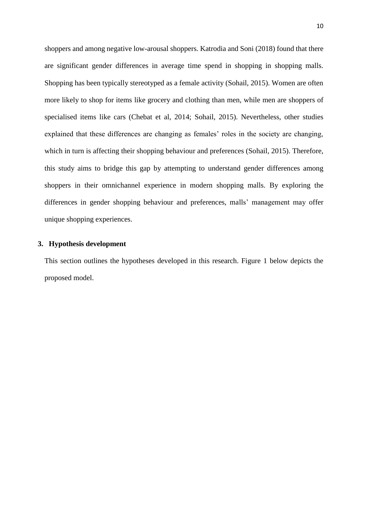shoppers and among negative low-arousal shoppers. Katrodia and Soni (2018) found that there are significant gender differences in average time spend in shopping in shopping malls. Shopping has been typically stereotyped as a female activity (Sohail, 2015). Women are often more likely to shop for items like grocery and clothing than men, while men are shoppers of specialised items like cars (Chebat et al, 2014; Sohail, 2015). Nevertheless, other studies explained that these differences are changing as females' roles in the society are changing, which in turn is affecting their shopping behaviour and preferences (Sohail, 2015). Therefore, this study aims to bridge this gap by attempting to understand gender differences among shoppers in their omnichannel experience in modern shopping malls. By exploring the differences in gender shopping behaviour and preferences, malls' management may offer unique shopping experiences.

# **3. Hypothesis development**

This section outlines the hypotheses developed in this research. Figure 1 below depicts the proposed model.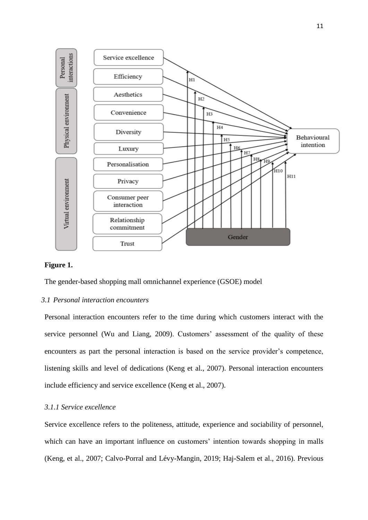

# **Figure 1.**

The gender-based shopping mall omnichannel experience (GSOE) model

# *3.1 Personal interaction encounters*

Personal interaction encounters refer to the time during which customers interact with the service personnel (Wu and Liang, 2009). Customers' assessment of the quality of these encounters as part the personal interaction is based on the service provider's competence, listening skills and level of dedications (Keng et al., 2007). Personal interaction encounters include efficiency and service excellence (Keng et al., 2007).

# *3.1.1 Service excellence*

Service excellence refers to the politeness, attitude, experience and sociability of personnel, which can have an important influence on customers' intention towards shopping in malls (Keng, et al., 2007; Calvo-Porral and Lévy-Mangin, 2019; Haj-Salem et al., 2016). Previous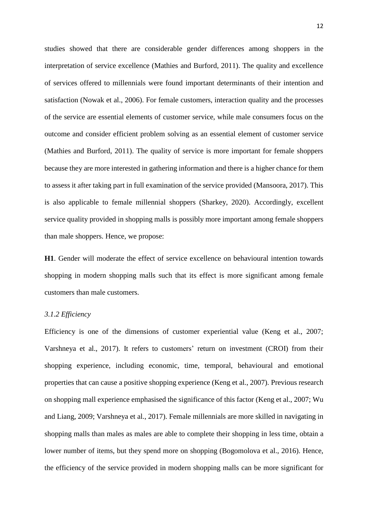studies showed that there are considerable gender differences among shoppers in the interpretation of service excellence (Mathies and Burford, 2011). The quality and excellence of services offered to millennials were found important determinants of their intention and satisfaction (Nowak et al., 2006). For female customers, interaction quality and the processes of the service are essential elements of customer service, while male consumers focus on the outcome and consider efficient problem solving as an essential element of customer service (Mathies and Burford, 2011). The quality of service is more important for female shoppers because they are more interested in gathering information and there is a higher chance for them to assess it after taking part in full examination of the service provided (Mansoora, 2017). This is also applicable to female millennial shoppers (Sharkey, 2020). Accordingly, excellent service quality provided in shopping malls is possibly more important among female shoppers than male shoppers. Hence, we propose:

**H1**. Gender will moderate the effect of service excellence on behavioural intention towards shopping in modern shopping malls such that its effect is more significant among female customers than male customers.

# *3.1.2 Efficiency*

Efficiency is one of the dimensions of customer experiential value (Keng et al., 2007; Varshneya et al., 2017). It refers to customers' return on investment (CROI) from their shopping experience, including economic, time, temporal, behavioural and emotional properties that can cause a positive shopping experience (Keng et al., 2007). Previous research on shopping mall experience emphasised the significance of this factor (Keng et al., 2007; Wu and Liang, 2009; Varshneya et al., 2017). Female millennials are more skilled in navigating in shopping malls than males as males are able to complete their shopping in less time, obtain a lower number of items, but they spend more on shopping (Bogomolova et al., 2016). Hence, the efficiency of the service provided in modern shopping malls can be more significant for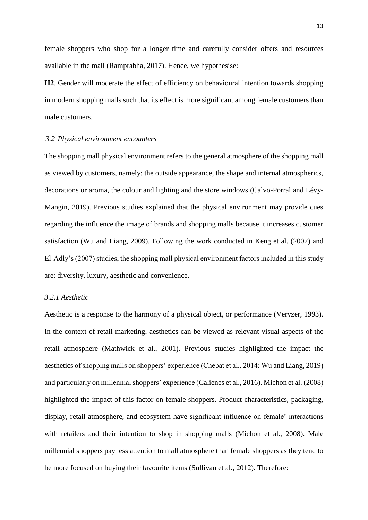female shoppers who shop for a longer time and carefully consider offers and resources available in the mall (Ramprabha, 2017). Hence, we hypothesise:

**H2**. Gender will moderate the effect of efficiency on behavioural intention towards shopping in modern shopping malls such that its effect is more significant among female customers than male customers.

# *3.2 Physical environment encounters*

The shopping mall physical environment refers to the general atmosphere of the shopping mall as viewed by customers, namely: the outside appearance, the shape and internal atmospherics, decorations or aroma, the colour and lighting and the store windows (Calvo-Porral and Lévy-Mangin, 2019). Previous studies explained that the physical environment may provide cues regarding the influence the image of brands and shopping malls because it increases customer satisfaction (Wu and Liang, 2009). Following the work conducted in Keng et al. (2007) and El-Adly's (2007) studies, the shopping mall physical environment factors included in this study are: diversity, luxury, aesthetic and convenience.

# *3.2.1 Aesthetic*

Aesthetic is a response to the harmony of a physical object, or performance (Veryzer, 1993). In the context of retail marketing, aesthetics can be viewed as relevant visual aspects of the retail atmosphere (Mathwick et al., 2001). Previous studies highlighted the impact the aesthetics of shopping malls on shoppers' experience (Chebat et al., 2014; Wu and Liang, 2019) and particularly on millennial shoppers' experience (Calienes et al., 2016). Michon et al. (2008) highlighted the impact of this factor on female shoppers. Product characteristics, packaging, display, retail atmosphere, and ecosystem have significant influence on female' interactions with retailers and their intention to shop in shopping malls (Michon et al., 2008). Male millennial shoppers pay less attention to mall atmosphere than female shoppers as they tend to be more focused on buying their favourite items (Sullivan et al., 2012). Therefore: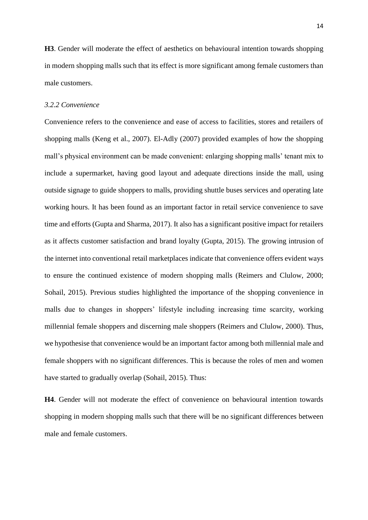**H3**. Gender will moderate the effect of aesthetics on behavioural intention towards shopping in modern shopping malls such that its effect is more significant among female customers than male customers.

# *3.2.2 Convenience*

Convenience refers to the convenience and ease of access to facilities, stores and retailers of shopping malls (Keng et al., 2007). El-Adly (2007) provided examples of how the shopping mall's physical environment can be made convenient: enlarging shopping malls' tenant mix to include a supermarket, having good layout and adequate directions inside the mall, using outside signage to guide shoppers to malls, providing shuttle buses services and operating late working hours. It has been found as an important factor in retail service convenience to save time and efforts (Gupta and Sharma, 2017). It also has a significant positive impact for retailers as it affects customer satisfaction and brand loyalty (Gupta, 2015). The growing intrusion of the internet into conventional retail marketplaces indicate that convenience offers evident ways to ensure the continued existence of modern shopping malls (Reimers and Clulow, 2000; Sohail, 2015). Previous studies highlighted the importance of the shopping convenience in malls due to changes in shoppers' lifestyle including increasing time scarcity, working millennial female shoppers and discerning male shoppers (Reimers and Clulow, 2000). Thus, we hypothesise that convenience would be an important factor among both millennial male and female shoppers with no significant differences. This is because the roles of men and women have started to gradually overlap (Sohail, 2015). Thus:

**H4**. Gender will not moderate the effect of convenience on behavioural intention towards shopping in modern shopping malls such that there will be no significant differences between male and female customers.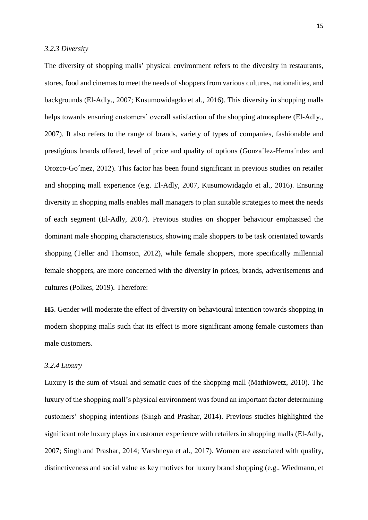# *3.2.3 Diversity*

The diversity of shopping malls' physical environment refers to the diversity in restaurants, stores, food and cinemas to meet the needs of shoppers from various cultures, nationalities, and backgrounds (El-Adly., 2007; Kusumowidagdo et al., 2016). This diversity in shopping malls helps towards ensuring customers' overall satisfaction of the shopping atmosphere (El-Adly., 2007). It also refers to the range of brands, variety of types of companies, fashionable and prestigious brands offered, level of price and quality of options (Gonza´lez-Herna´ndez and Orozco-Go´mez, 2012). This factor has been found significant in previous studies on retailer and shopping mall experience (e.g. El-Adly, 2007, Kusumowidagdo et al., 2016). Ensuring diversity in shopping malls enables mall managers to plan suitable strategies to meet the needs of each segment (El-Adly, 2007). Previous studies on shopper behaviour emphasised the dominant male shopping characteristics, showing male shoppers to be task orientated towards shopping (Teller and Thomson, 2012), while female shoppers, more specifically millennial female shoppers, are more concerned with the diversity in prices, brands, advertisements and cultures (Polkes, 2019). Therefore:

**H5**. Gender will moderate the effect of diversity on behavioural intention towards shopping in modern shopping malls such that its effect is more significant among female customers than male customers.

#### *3.2.4 Luxury*

Luxury is the sum of visual and sematic cues of the shopping mall (Mathiowetz, 2010). The luxury of the shopping mall's physical environment was found an important factor determining customers' shopping intentions (Singh and Prashar, 2014). Previous studies highlighted the significant role luxury plays in customer experience with retailers in shopping malls (El-Adly, 2007; Singh and Prashar, 2014; Varshneya et al., 2017). Women are associated with quality, distinctiveness and social value as key motives for luxury brand shopping (e.g., Wiedmann, et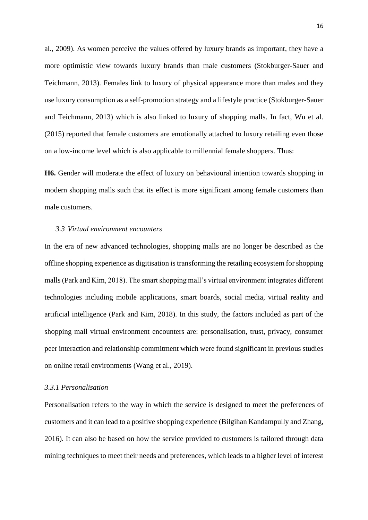al., 2009). As women perceive the values offered by luxury brands as important, they have a more optimistic view towards luxury brands than male customers (Stokburger-Sauer and Teichmann, 2013). Females link to luxury of physical appearance more than males and they use luxury consumption as a self-promotion strategy and a lifestyle practice (Stokburger-Sauer and Teichmann, 2013) which is also linked to luxury of shopping malls. In fact, Wu et al. (2015) reported that female customers are emotionally attached to luxury retailing even those on a low-income level which is also applicable to millennial female shoppers. Thus:

**H6.** Gender will moderate the effect of luxury on behavioural intention towards shopping in modern shopping malls such that its effect is more significant among female customers than male customers.

# *3.3 Virtual environment encounters*

In the era of new advanced technologies, shopping malls are no longer be described as the offline shopping experience as digitisation is transforming the retailing ecosystem for shopping malls (Park and Kim, 2018). The smart shopping mall's virtual environment integrates different technologies including mobile applications, smart boards, social media, virtual reality and artificial intelligence (Park and Kim, 2018). In this study, the factors included as part of the shopping mall virtual environment encounters are: personalisation, trust, privacy, consumer peer interaction and relationship commitment which were found significant in previous studies on online retail environments (Wang et al., 2019).

# *3.3.1 Personalisation*

Personalisation refers to the way in which the service is designed to meet the preferences of customers and it can lead to a positive shopping experience (Bilgihan Kandampully and Zhang, 2016). It can also be based on how the service provided to customers is tailored through data mining techniques to meet their needs and preferences, which leads to a higher level of interest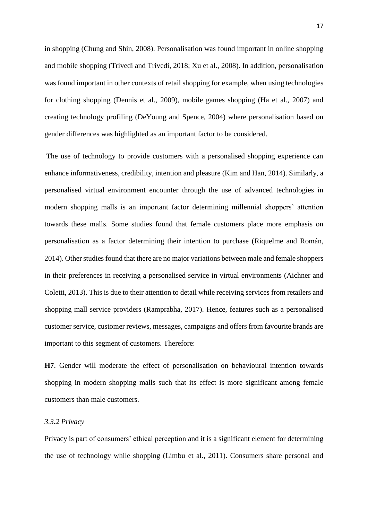in shopping (Chung and Shin, 2008). Personalisation was found important in online shopping and mobile shopping [\(Trivedi](https://www.tandfonline.com/author/Trivedi%2C+Hemant) and [Trivedi,](https://www.tandfonline.com/author/Trivedi%2C+Hemant) 2018; Xu et al., 2008). In addition, personalisation was found important in other contexts of retail shopping for example, when using technologies for clothing shopping (Dennis et al., 2009), mobile games shopping (Ha et al., 2007) and creating technology profiling (DeYoung and Spence, 2004) where personalisation based on gender differences was highlighted as an important factor to be considered.

The use of technology to provide customers with a personalised shopping experience can enhance informativeness, credibility, intention and pleasure (Kim and Han, 2014). Similarly, a personalised virtual environment encounter through the use of advanced technologies in modern shopping malls is an important factor determining millennial shoppers' attention towards these malls. Some studies found that female customers place more emphasis on personalisation as a factor determining their intention to purchase (Riquelme and Román, 2014). Other studies found that there are no major variations between male and female shoppers in their preferences in receiving a personalised service in virtual environments (Aichner and Coletti, 2013). This is due to their attention to detail while receiving services from retailers and shopping mall service providers (Ramprabha, 2017). Hence, features such as a personalised customer service, customer reviews, messages, campaigns and offers from favourite brands are important to this segment of customers. Therefore:

**H7**. Gender will moderate the effect of personalisation on behavioural intention towards shopping in modern shopping malls such that its effect is more significant among female customers than male customers.

# *3.3.2 Privacy*

Privacy is part of consumers' ethical perception and it is a significant element for determining the use of technology while shopping (Limbu et al., 2011). Consumers share personal and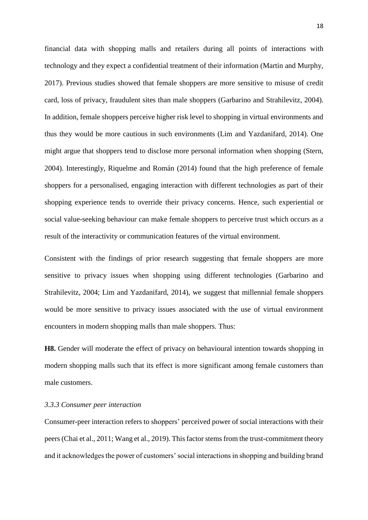financial data with shopping malls and retailers during all points of interactions with technology and they expect a confidential treatment of their information (Martin and Murphy, 2017). Previous studies showed that female shoppers are more sensitive to misuse of credit card, loss of privacy, fraudulent sites than male shoppers (Garbarino and Strahilevitz, 2004). In addition, female shoppers perceive higher risk level to shopping in virtual environments and thus they would be more cautious in such environments (Lim and Yazdanifard, 2014). One might argue that shoppers tend to disclose more personal information when shopping (Stern, 2004). Interestingly, Riquelme and Román (2014) found that the high preference of female shoppers for a personalised, engaging interaction with different technologies as part of their shopping experience tends to override their privacy concerns. Hence, such experiential or social value-seeking behaviour can make female shoppers to perceive trust which occurs as a result of the interactivity or communication features of the virtual environment.

Consistent with the findings of prior research suggesting that female shoppers are more sensitive to privacy issues when shopping using different technologies (Garbarino and Strahilevitz, 2004; Lim and Yazdanifard, 2014), we suggest that millennial female shoppers would be more sensitive to privacy issues associated with the use of virtual environment encounters in modern shopping malls than male shoppers. Thus:

**H8.** Gender will moderate the effect of privacy on behavioural intention towards shopping in modern shopping malls such that its effect is more significant among female customers than male customers.

# *3.3.3 Consumer peer interaction*

Consumer-peer interaction refers to shoppers' perceived power of social interactions with their peers (Chai et al., 2011; Wang et al., 2019). This factor stems from the trust-commitment theory and it acknowledges the power of customers' social interactions in shopping and building brand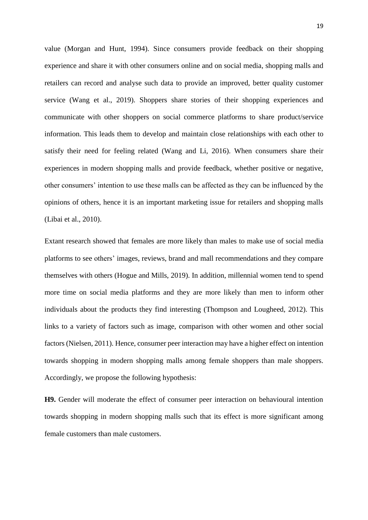value (Morgan and Hunt, 1994). Since consumers provide feedback on their shopping experience and share it with other consumers online and on social media, shopping malls and retailers can record and analyse such data to provide an improved, better quality customer service (Wang et al., 2019). Shoppers share stories of their shopping experiences and communicate with other shoppers on social commerce platforms to share product/service information. This leads them to develop and maintain close relationships with each other to satisfy their need for feeling related (Wang and Li, 2016). When consumers share their experiences in modern shopping malls and provide feedback, whether positive or negative, other consumers' intention to use these malls can be affected as they can be influenced by the opinions of others, hence it is an important marketing issue for retailers and shopping malls (Libai et al., 2010).

Extant research showed that females are more likely than males to make use of social media platforms to see others' images, reviews, brand and mall recommendations and they compare themselves with others (Hogue and Mills, 2019). In addition, millennial women tend to spend more time on social media platforms and they are more likely than men to inform other individuals about the products they find interesting (Thompson and Lougheed, 2012). This links to a variety of factors such as image, comparison with other women and other social factors (Nielsen, 2011). Hence, consumer peer interaction may have a higher effect on intention towards shopping in modern shopping malls among female shoppers than male shoppers. Accordingly, we propose the following hypothesis:

**H9.** Gender will moderate the effect of consumer peer interaction on behavioural intention towards shopping in modern shopping malls such that its effect is more significant among female customers than male customers.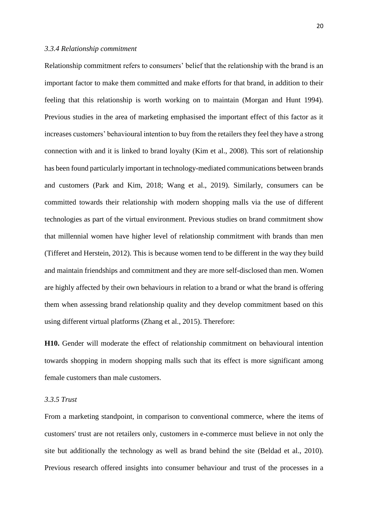# *3.3.4 Relationship commitment*

Relationship commitment refers to consumers' belief that the relationship with the brand is an important factor to make them committed and make efforts for that brand, in addition to their feeling that this relationship is worth working on to maintain (Morgan and Hunt 1994). Previous studies in the area of marketing emphasised the important effect of this factor as it increases customers' behavioural intention to buy from the retailers they feel they have a strong connection with and it is linked to brand loyalty (Kim et al., 2008). This sort of relationship has been found particularly important in technology-mediated communications between brands and customers (Park and Kim, 2018; Wang et al., 2019). Similarly, consumers can be committed towards their relationship with modern shopping malls via the use of different technologies as part of the virtual environment. Previous studies on brand commitment show that millennial women have higher level of relationship commitment with brands than men (Tifferet and Herstein, 2012). This is because women tend to be different in the way they build and maintain friendships and commitment and they are more self-disclosed than men. Women are highly affected by their own behaviours in relation to a brand or what the brand is offering them when assessing brand relationship quality and they develop commitment based on this using different virtual platforms (Zhang et al., 2015). Therefore:

**H10.** Gender will moderate the effect of relationship commitment on behavioural intention towards shopping in modern shopping malls such that its effect is more significant among female customers than male customers.

# *3.3.5 Trust*

From a marketing standpoint, in comparison to conventional commerce, where the items of customers' trust are not retailers only, customers in e-commerce must believe in not only the site but additionally the technology as well as brand behind the site (Beldad et al., 2010). Previous research offered insights into consumer behaviour and trust of the processes in a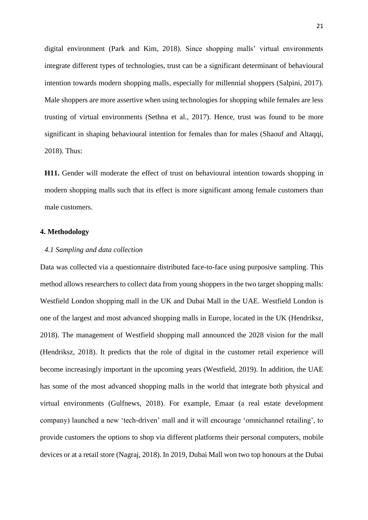digital environment (Park and Kim, 2018). Since shopping malls' virtual environments integrate different types of technologies, trust can be a significant determinant of behavioural intention towards modern shopping malls, especially for millennial shoppers (Salpini, 2017). Male shoppers are more assertive when using technologies for shopping while females are less trusting of virtual environments (Sethna et al., 2017). Hence, trust was found to be more significant in shaping behavioural intention for females than for males (Shaouf and Altaqqi, 2018). Thus:

**H11.** Gender will moderate the effect of trust on behavioural intention towards shopping in modern shopping malls such that its effect is more significant among female customers than male customers.

#### **4. Methodology**

# *4.1 Sampling and data collection*

Data was collected via a questionnaire distributed face-to-face using purposive sampling. This method allows researchers to collect data from young shoppers in the two target shopping malls: Westfield London shopping mall in the UK and Dubai Mall in the UAE. Westfield London is one of the largest and most advanced shopping malls in Europe, located in the UK (Hendriksz, 2018). The management of Westfield shopping mall announced the 2028 vision for the mall (Hendriksz, 2018). It predicts that the role of digital in the customer retail experience will become increasingly important in the upcoming years (Westfield, 2019). In addition, the UAE has some of the most advanced shopping malls in the world that integrate both physical and virtual environments (Gulfnews, 2018). For example, Emaar (a real estate development company) launched a new 'tech-driven' mall and it will encourage 'omnichannel retailing', to provide customers the options to shop via different platforms their personal computers, mobile devices or at a retail store (Nagraj, 2018). In 2019, Dubai Mall won two top honours at the Dubai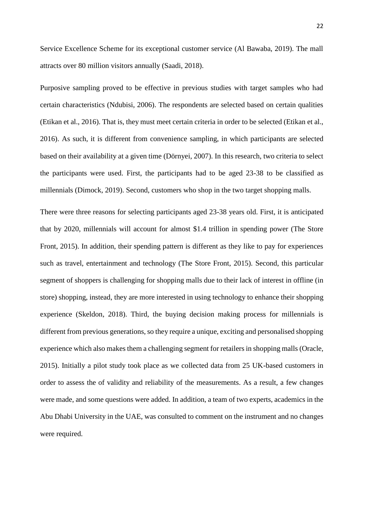Service Excellence Scheme for its exceptional customer service (Al Bawaba, 2019). The mall attracts over 80 million visitors annually (Saadi, 2018).

Purposive sampling proved to be effective in previous studies with target samples who had certain characteristics (Ndubisi, 2006). The respondents are selected based on certain qualities (Etikan et al., 2016). That is, they must meet certain criteria in order to be selected (Etikan et al., 2016). As such, it is different from convenience sampling, in which participants are selected based on their availability at a given time (Dörnyei, 2007). In this research, two criteria to select the participants were used. First, the participants had to be aged 23-38 to be classified as millennials [\(Dimock,](https://www.pewresearch.org/staff/michael-dimock) 2019). Second, customers who shop in the two target shopping malls.

There were three reasons for selecting participants aged 23-38 years old. First, it is anticipated that by 2020, millennials will account for almost \$1.4 trillion in spending power (The Store Front, 2015). In addition, their spending pattern is different as they like to pay for experiences such as travel, entertainment and technology (The Store Front, 2015). Second, this particular segment of shoppers is challenging for shopping malls due to their lack of interest in offline (in store) shopping, instead, they are more interested in using technology to enhance their shopping experience [\(Skeldon,](https://internetretailing.net/paul-skeldon) 2018). Third, the buying decision making process for millennials is different from previous generations, so they require a unique, exciting and personalised shopping experience which also makes them a challenging segment for retailers in shopping malls (Oracle, 2015). Initially a pilot study took place as we collected data from 25 UK-based customers in order to assess the of validity and reliability of the measurements. As a result, a few changes were made, and some questions were added. In addition, a team of two experts, academics in the Abu Dhabi University in the UAE, was consulted to comment on the instrument and no changes were required.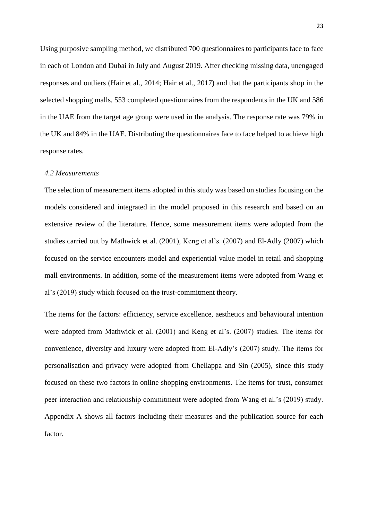Using purposive sampling method, we distributed 700 questionnaires to participants face to face in each of London and Dubai in July and August 2019. After checking missing data, unengaged responses and outliers (Hair et al., 2014; Hair et al., 2017) and that the participants shop in the selected shopping malls, 553 completed questionnaires from the respondents in the UK and 586 in the UAE from the target age group were used in the analysis. The response rate was 79% in the UK and 84% in the UAE. Distributing the questionnaires face to face helped to achieve high response rates.

# *4.2 Measurements*

The selection of measurement items adopted in this study was based on studies focusing on the models considered and integrated in the model proposed in this research and based on an extensive review of the literature. Hence, some measurement items were adopted from the studies carried out by Mathwick et al. (2001), Keng et al's. (2007) and El-Adly (2007) which focused on the service encounters model and experiential value model in retail and shopping mall environments. In addition, some of the measurement items were adopted from Wang et al's (2019) study which focused on the trust-commitment theory.

The items for the factors: efficiency, service excellence, aesthetics and behavioural intention were adopted from Mathwick et al. (2001) and Keng et al's. (2007) studies. The items for convenience, diversity and luxury were adopted from El-Adly's (2007) study. The items for personalisation and privacy were adopted from Chellappa and Sin (2005), since this study focused on these two factors in online shopping environments. The items for trust, consumer peer interaction and relationship commitment were adopted from Wang et al.'s (2019) study. Appendix A shows all factors including their measures and the publication source for each factor.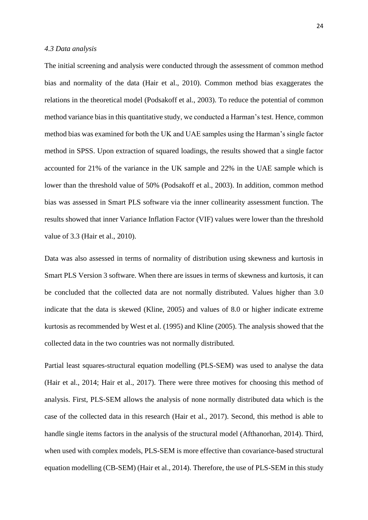#### *4.3 Data analysis*

The initial screening and analysis were conducted through the assessment of common method bias and normality of the data (Hair et al., 2010). Common method bias exaggerates the relations in the theoretical model (Podsakoff et al., 2003). To reduce the potential of common method variance bias in this quantitative study, we conducted a Harman's test. Hence, common method bias was examined for both the UK and UAE samples using the Harman's single factor method in SPSS. Upon extraction of squared loadings, the results showed that a single factor accounted for 21% of the variance in the UK sample and 22% in the UAE sample which is lower than the threshold value of 50% (Podsakoff et al., 2003). In addition, common method bias was assessed in Smart PLS software via the inner collinearity assessment function. The results showed that inner Variance Inflation Factor (VIF) values were lower than the threshold value of 3.3 (Hair et al., 2010).

Data was also assessed in terms of normality of distribution using skewness and kurtosis in Smart PLS Version 3 software. When there are issues in terms of skewness and kurtosis, it can be concluded that the collected data are not normally distributed. Values higher than 3.0 indicate that the data is skewed (Kline, 2005) and values of 8.0 or higher indicate extreme kurtosis as recommended by West et al. (1995) and Kline (2005). The analysis showed that the collected data in the two countries was not normally distributed.

Partial least squares-structural equation modelling (PLS-SEM) was used to analyse the data (Hair et al., 2014; Hair et al., 2017). There were three motives for choosing this method of analysis. First, PLS-SEM allows the analysis of none normally distributed data which is the case of the collected data in this research (Hair et al., 2017). Second, this method is able to handle single items factors in the analysis of the structural model (Afthanorhan, 2014). Third, when used with complex models, PLS-SEM is more effective than covariance-based structural equation modelling (CB-SEM) (Hair et al., 2014). Therefore, the use of PLS-SEM in this study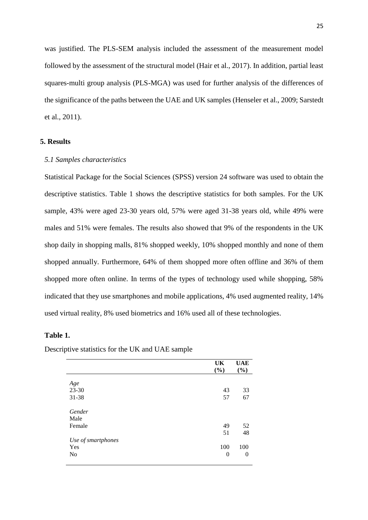was justified. The PLS-SEM analysis included the assessment of the measurement model followed by the assessment of the structural model (Hair et al., 2017). In addition, partial least squares-multi group analysis (PLS-MGA) was used for further analysis of the differences of the significance of the paths between the UAE and UK samples (Henseler et al., 2009; Sarstedt et al., 2011).

# **5. Results**

# *5.1 Samples characteristics*

Statistical Package for the Social Sciences (SPSS) version 24 software was used to obtain the descriptive statistics. Table 1 shows the descriptive statistics for both samples. For the UK sample, 43% were aged 23-30 years old, 57% were aged 31-38 years old, while 49% were males and 51% were females. The results also showed that 9% of the respondents in the UK shop daily in shopping malls, 81% shopped weekly, 10% shopped monthly and none of them shopped annually. Furthermore, 64% of them shopped more often offline and 36% of them shopped more often online. In terms of the types of technology used while shopping, 58% indicated that they use smartphones and mobile applications, 4% used augmented reality, 14% used virtual reality, 8% used biometrics and 16% used all of these technologies.

# **Table 1.**

Descriptive statistics for the UK and UAE sample

|                    | UK<br>(%)      | <b>UAE</b><br>(%) |
|--------------------|----------------|-------------------|
|                    |                |                   |
| Age                |                |                   |
| 23-30              | 43             | 33                |
| 31-38              | 57             | 67                |
| Gender             |                |                   |
| Male               |                |                   |
| Female             | 49             | 52                |
|                    | 51             | 48                |
| Use of smartphones |                |                   |
| Yes                | 100            | 100               |
| N <sub>0</sub>     | $\overline{0}$ | $\theta$          |
|                    |                |                   |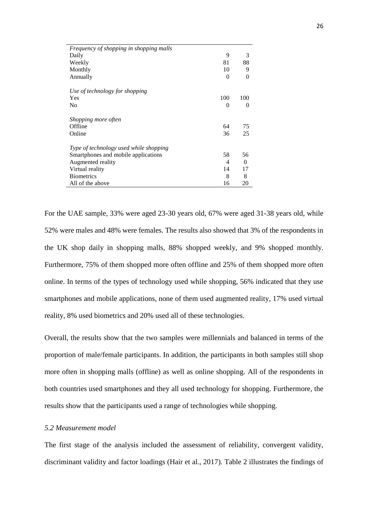| Frequency of shopping in shopping malls |          |          |
|-----------------------------------------|----------|----------|
| Daily                                   | 9        | 3        |
| Weekly                                  | 81       | 88       |
| Monthly                                 | 10       | 9        |
| Annually                                | 0        | 0        |
| Use of technology for shopping          |          |          |
| Yes                                     | 100      | 100      |
| No                                      | $\theta$ | $\Omega$ |
| <i>Shopping more often</i>              |          |          |
| Offline                                 | 64       | 75       |
| Online                                  | 36       | 25       |
| Type of technology used while shopping  |          |          |
| Smartphones and mobile applications     | 58       | 56       |
| Augmented reality                       | 4        | 0        |
| Virtual reality                         | 14       | 17       |
| <b>Biometrics</b>                       | 8        | 8        |
| All of the above                        | 16       | 20       |

For the UAE sample, 33% were aged 23-30 years old, 67% were aged 31-38 years old, while 52% were males and 48% were females. The results also showed that 3% of the respondents in the UK shop daily in shopping malls, 88% shopped weekly, and 9% shopped monthly. Furthermore, 75% of them shopped more often offline and 25% of them shopped more often online. In terms of the types of technology used while shopping, 56% indicated that they use smartphones and mobile applications, none of them used augmented reality, 17% used virtual reality, 8% used biometrics and 20% used all of these technologies.

Overall, the results show that the two samples were millennials and balanced in terms of the proportion of male/female participants. In addition, the participants in both samples still shop more often in shopping malls (offline) as well as online shopping. All of the respondents in both countries used smartphones and they all used technology for shopping. Furthermore, the results show that the participants used a range of technologies while shopping.

#### *5.2 Measurement model*

The first stage of the analysis included the assessment of reliability, convergent validity, discriminant validity and factor loadings (Hair et al., 2017). Table 2 illustrates the findings of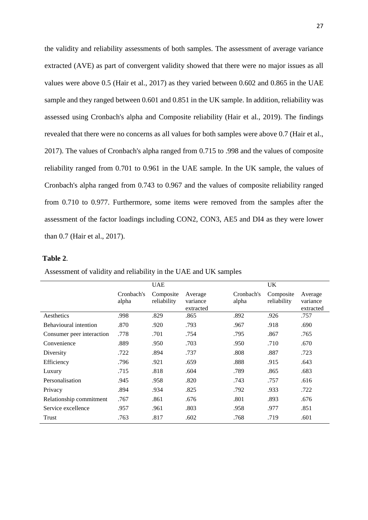the validity and reliability assessments of both samples. The assessment of average variance extracted (AVE) as part of convergent validity showed that there were no major issues as all values were above 0.5 (Hair et al., 2017) as they varied between 0.602 and 0.865 in the UAE sample and they ranged between 0.601 and 0.851 in the UK sample. In addition, reliability was assessed using Cronbach's alpha and Composite reliability (Hair et al., 2019). The findings revealed that there were no concerns as all values for both samples were above 0.7 (Hair et al., 2017). The values of Cronbach's alpha ranged from 0.715 to .998 and the values of composite reliability ranged from 0.701 to 0.961 in the UAE sample. In the UK sample, the values of Cronbach's alpha ranged from 0.743 to 0.967 and the values of composite reliability ranged from 0.710 to 0.977. Furthermore, some items were removed from the samples after the assessment of the factor loadings including CON2, CON3, AE5 and DI4 as they were lower than 0.7 (Hair et al., 2017).

#### **Table 2**.

|                           |                     | <b>UAE</b>               |                                  |                     | <b>UK</b>                |                                  |
|---------------------------|---------------------|--------------------------|----------------------------------|---------------------|--------------------------|----------------------------------|
|                           | Cronbach's<br>alpha | Composite<br>reliability | Average<br>variance<br>extracted | Cronbach's<br>alpha | Composite<br>reliability | Average<br>variance<br>extracted |
| Aesthetics                | .998                | .829                     | .865                             | .892                | .926                     | .757                             |
| Behavioural intention     | .870                | .920                     | .793                             | .967                | .918                     | .690                             |
| Consumer peer interaction | .778                | .701                     | .754                             | .795                | .867                     | .765                             |
| Convenience               | .889                | .950                     | .703                             | .950                | .710                     | .670                             |
| Diversity                 | .722                | .894                     | .737                             | .808                | .887                     | .723                             |
| Efficiency                | .796                | .921                     | .659                             | .888                | .915                     | .643                             |
| Luxury                    | .715                | .818                     | .604                             | .789                | .865                     | .683                             |
| Personalisation           | .945                | .958                     | .820                             | .743                | .757                     | .616                             |
| Privacy                   | .894                | .934                     | .825                             | .792                | .933                     | .722                             |
| Relationship commitment   | .767                | .861                     | .676                             | .801                | .893                     | .676                             |
| Service excellence        | .957                | .961                     | .803                             | .958                | .977                     | .851                             |
| Trust                     | .763                | .817                     | .602                             | .768                | .719                     | .601                             |
|                           |                     |                          |                                  |                     |                          |                                  |

Assessment of validity and reliability in the UAE and UK samples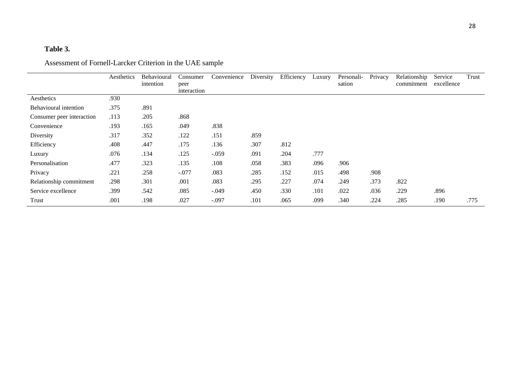# **Table 3.**

|                           | Aesthetics | Behavioural<br>intention | Consumer<br>peer<br>interaction | Convenience | Diversity | Efficiency | Luxury | Personali-<br>sation | Privacy | Relationship<br>commitment | Service<br>excellence | Trust |
|---------------------------|------------|--------------------------|---------------------------------|-------------|-----------|------------|--------|----------------------|---------|----------------------------|-----------------------|-------|
| Aesthetics                | .930       |                          |                                 |             |           |            |        |                      |         |                            |                       |       |
| Behavioural intention     | .375       | .891                     |                                 |             |           |            |        |                      |         |                            |                       |       |
| Consumer peer interaction | .113       | .205                     | .868                            |             |           |            |        |                      |         |                            |                       |       |
| Convenience               | .193       | .165                     | .049                            | .838        |           |            |        |                      |         |                            |                       |       |
| Diversity                 | .317       | .352                     | .122                            | .151        | .859      |            |        |                      |         |                            |                       |       |
| Efficiency                | .408       | .447                     | .175                            | .136        | .307      | .812       |        |                      |         |                            |                       |       |
| Luxury                    | .076       | .134                     | .125                            | $-.059$     | .091      | .204       | .777   |                      |         |                            |                       |       |
| Personalisation           | .477       | .323                     | .135                            | .108        | .058      | .383       | .096   | .906                 |         |                            |                       |       |
| Privacy                   | .221       | .258                     | $-.077$                         | .083        | .285      | .152       | .015   | .498                 | .908    |                            |                       |       |
| Relationship commitment   | .298       | .301                     | .001                            | .083        | .295      | .227       | .074   | .249                 | .373    | .822                       |                       |       |
| Service excellence        | .399       | .542                     | .085                            | $-.049$     | .450      | .330       | .101   | .022                 | .036    | .229                       | .896                  |       |
| Trust                     | .001       | .198                     | .027                            | $-.097$     | .101      | .065       | .099   | .340                 | .224    | .285                       | .190                  | .775  |

# Assessment of Fornell-Larcker Criterion in the UAE sample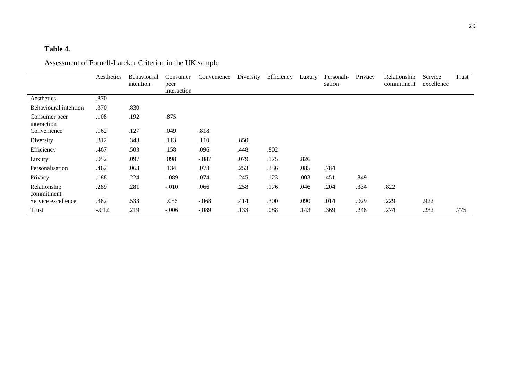# **Table 4.**

Assessment of Fornell-Larcker Criterion in the UK sample

|                              | Aesthetics | Behavioural<br>intention | Consumer<br>peer<br>interaction | Convenience | Diversity | Efficiency | Luxury | Personali-<br>sation | Privacy | Relationship<br>commitment | Service<br>excellence | Trust |
|------------------------------|------------|--------------------------|---------------------------------|-------------|-----------|------------|--------|----------------------|---------|----------------------------|-----------------------|-------|
| Aesthetics                   | .870       |                          |                                 |             |           |            |        |                      |         |                            |                       |       |
| Behavioural intention        | .370       | .830                     |                                 |             |           |            |        |                      |         |                            |                       |       |
| Consumer peer<br>interaction | .108       | .192                     | .875                            |             |           |            |        |                      |         |                            |                       |       |
| Convenience                  | .162       | .127                     | .049                            | .818        |           |            |        |                      |         |                            |                       |       |
| Diversity                    | .312       | .343                     | .113                            | .110        | .850      |            |        |                      |         |                            |                       |       |
| Efficiency                   | .467       | .503                     | .158                            | .096        | .448      | .802       |        |                      |         |                            |                       |       |
| Luxury                       | .052       | .097                     | .098                            | $-.087$     | .079      | .175       | .826   |                      |         |                            |                       |       |
| Personalisation              | .462       | .063                     | .134                            | .073        | .253      | .336       | .085   | .784                 |         |                            |                       |       |
| Privacy                      | .188       | .224                     | $-.089$                         | .074        | .245      | .123       | .003   | .451                 | .849    |                            |                       |       |
| Relationship<br>commitment   | .289       | .281                     | $-.010$                         | .066        | .258      | .176       | .046   | .204                 | .334    | .822                       |                       |       |
| Service excellence           | .382       | .533                     | .056                            | $-.068$     | .414      | .300       | .090   | .014                 | .029    | .229                       | .922                  |       |
| Trust                        | $-.012$    | .219                     | $-.006$                         | $-.089$     | .133      | .088       | .143   | .369                 | .248    | .274                       | .232                  | .775  |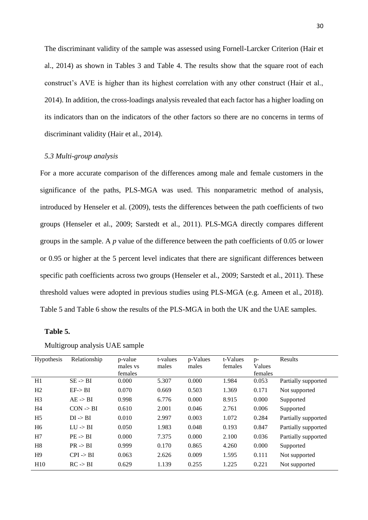The discriminant validity of the sample was assessed using Fornell-Larcker Criterion (Hair et al., 2014) as shown in Tables 3 and Table 4. The results show that the square root of each construct's AVE is higher than its highest correlation with any other construct (Hair et al., 2014). In addition, the cross-loadings analysis revealed that each factor has a higher loading on its indicators than on the indicators of the other factors so there are no concerns in terms of discriminant validity (Hair et al., 2014).

# *5.3 Multi-group analysis*

For a more accurate comparison of the differences among male and female customers in the significance of the paths, PLS-MGA was used. This nonparametric method of analysis, introduced by Henseler et al. (2009), tests the differences between the path coefficients of two groups (Henseler et al., 2009; Sarstedt et al., 2011). PLS-MGA directly compares different groups in the sample. A *p* value of the difference between the path coefficients of 0.05 or lower or 0.95 or higher at the 5 percent level indicates that there are significant differences between specific path coefficients across two groups (Henseler et al., 2009; Sarstedt et al., 2011). These threshold values were adopted in previous studies using PLS-MGA (e.g. Ameen et al., 2018). Table 5 and Table 6 show the results of the PLS-MGA in both the UK and the UAE samples.

#### **Table 5.**

| Hypothesis     | Relationship         | p-value<br>males vs<br>females | t-values<br>males | p-Values<br>males | t-Values<br>females | $p-$<br>Values<br>females | Results             |
|----------------|----------------------|--------------------------------|-------------------|-------------------|---------------------|---------------------------|---------------------|
| H1             | $SE \rightarrow BI$  | 0.000                          | 5.307             | 0.000             | 1.984               | 0.053                     | Partially supported |
| H <sub>2</sub> | EF > BI              | 0.070                          | 0.669             | 0.503             | 1.369               | 0.171                     | Not supported       |
| H <sub>3</sub> | $AE \rightarrow BI$  | 0.998                          | 6.776             | 0.000             | 8.915               | 0.000                     | Supported           |
| H <sub>4</sub> | $CON \rightarrow BI$ | 0.610                          | 2.001             | 0.046             | 2.761               | 0.006                     | Supported           |
| H <sub>5</sub> | $DI \rightarrow BI$  | 0.010                          | 2.997             | 0.003             | 1.072               | 0.284                     | Partially supported |
| H <sub>6</sub> | $LU \rightarrow BI$  | 0.050                          | 1.983             | 0.048             | 0.193               | 0.847                     | Partially supported |
| H7             | $PE \rightarrow BI$  | 0.000                          | 7.375             | 0.000             | 2.100               | 0.036                     | Partially supported |
| H <sub>8</sub> | $PR \rightarrow BI$  | 0.999                          | 0.170             | 0.865             | 4.260               | 0.000                     | Supported           |
| H <sup>9</sup> | $CPI \rightarrow BI$ | 0.063                          | 2.626             | 0.009             | 1.595               | 0.111                     | Not supported       |
| H10            | $RC \rightarrow BI$  | 0.629                          | 1.139             | 0.255             | 1.225               | 0.221                     | Not supported       |

Multigroup analysis UAE sample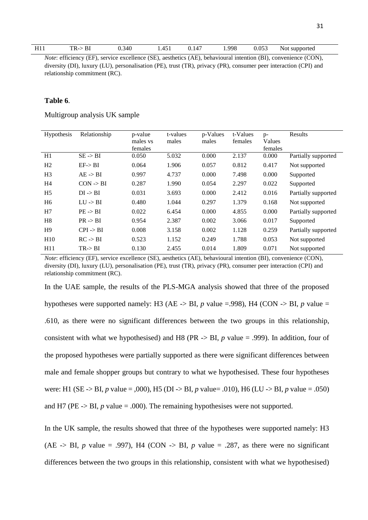| $\mathbf{L}$ 1<br>пп | םי<br>. r. –<br>the contract of the contract of the | B <sub>I</sub><br>-- | ◡.◡ | ۰۸C |        | .<br>$\sim$ | $\overline{ }$<br>14 | 998<br>. | 0.053<br>.    | 'NG<br>ັ<br>. | pported<br>.<br>. . |
|----------------------|-----------------------------------------------------|----------------------|-----|-----|--------|-------------|----------------------|----------|---------------|---------------|---------------------|
|                      | $\sim$ $\sim$                                       | $\sim$               |     |     | $\sim$ |             | .                    |          | $\sim$ $\sim$ |               | $\sim$              |

*Note*: efficiency (EF), service excellence (SE), aesthetics (AE), behavioural intention (BI), convenience (CON), diversity (DI), luxury (LU), personalisation (PE), trust (TR), privacy (PR), consumer peer interaction (CPI) and relationship commitment (RC).

# **Table 6**.

Multigroup analysis UK sample

| Hypothesis     | Relationship         | p-value<br>males vs | t-values<br>males | p-Values<br>males | t-Values<br>females | $p-$<br>Values | Results             |
|----------------|----------------------|---------------------|-------------------|-------------------|---------------------|----------------|---------------------|
|                |                      | females             |                   |                   |                     | females        |                     |
| H1             | $SE \rightarrow BI$  | 0.050               | 5.032             | 0.000             | 2.137               | 0.000          | Partially supported |
| H2             | EF > BI              | 0.064               | 1.906             | 0.057             | 0.812               | 0.417          | Not supported       |
| H <sub>3</sub> | $AE \rightarrow BI$  | 0.997               | 4.737             | 0.000             | 7.498               | 0.000          | Supported           |
| H <sub>4</sub> | $CON \rightarrow BI$ | 0.287               | 1.990             | 0.054             | 2.297               | 0.022          | Supported           |
| H <sub>5</sub> | $DI \rightarrow BI$  | 0.031               | 3.693             | 0.000             | 2.412               | 0.016          | Partially supported |
| H <sub>6</sub> | $LU \rightarrow BI$  | 0.480               | 1.044             | 0.297             | 1.379               | 0.168          | Not supported       |
| H7             | $PE \rightarrow BI$  | 0.022               | 6.454             | 0.000             | 4.855               | 0.000          | Partially supported |
| H <sub>8</sub> | $PR \rightarrow BI$  | 0.954               | 2.387             | 0.002             | 3.066               | 0.017          | Supported           |
| H <sup>9</sup> | $CPI \rightarrow BI$ | 0.008               | 3.158             | 0.002             | 1.128               | 0.259          | Partially supported |
| H10            | $RC \rightarrow BI$  | 0.523               | 1.152             | 0.249             | 1.788               | 0.053          | Not supported       |
| H11            | TR > BI              | 0.130               | 2.455             | 0.014             | 1.809               | 0.071          | Not supported       |

*Note*: efficiency (EF), service excellence (SE), aesthetics (AE), behavioural intention (BI), convenience (CON), diversity (DI), luxury (LU), personalisation (PE), trust (TR), privacy (PR), consumer peer interaction (CPI) and relationship commitment (RC).

In the UAE sample, the results of the PLS-MGA analysis showed that three of the proposed hypotheses were supported namely: H3 (AE -> BI,  $p$  value =.998), H4 (CON -> BI,  $p$  value = .610, as there were no significant differences between the two groups in this relationship, consistent with what we hypothesised) and H8 (PR  $\rightarrow$  BI, *p* value = .999). In addition, four of the proposed hypotheses were partially supported as there were significant differences between male and female shopper groups but contrary to what we hypothesised. These four hypotheses were: H1 (SE -> BI, *p* value = ,000), H5 (DI -> BI, *p* value= .010), H6 (LU -> BI, *p* value = .050) and H7 ( $PE \rightarrow BI$ ,  $p$  value = .000). The remaining hypothesises were not supported.

In the UK sample, the results showed that three of the hypotheses were supported namely: H3 (AE  $\rightarrow$  BI, *p* value = .997), H4 (CON  $\rightarrow$  BI, *p* value = .287, as there were no significant differences between the two groups in this relationship, consistent with what we hypothesised)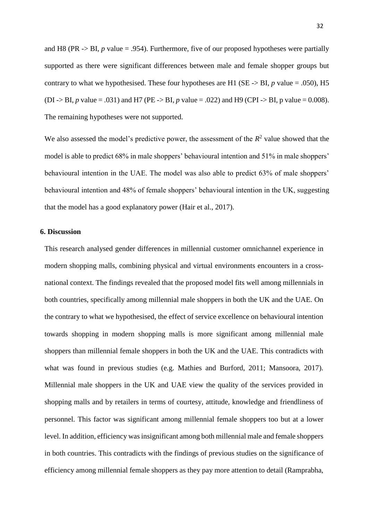and H8 (PR  $\rightarrow$  BI, p value = .954). Furthermore, five of our proposed hypotheses were partially supported as there were significant differences between male and female shopper groups but contrary to what we hypothesised. These four hypotheses are H1 (SE -> BI, *p* value = .050), H5 (DI -> BI, *p* value = .031) and H7 (PE -> BI, *p* value = .022) and H9 (CPI -> BI, p value = 0.008). The remaining hypotheses were not supported.

We also assessed the model's predictive power, the assessment of the  $R<sup>2</sup>$  value showed that the model is able to predict 68% in male shoppers' behavioural intention and 51% in male shoppers' behavioural intention in the UAE. The model was also able to predict 63% of male shoppers' behavioural intention and 48% of female shoppers' behavioural intention in the UK, suggesting that the model has a good explanatory power (Hair et al., 2017).

# **6. Discussion**

This research analysed gender differences in millennial customer omnichannel experience in modern shopping malls, combining physical and virtual environments encounters in a crossnational context. The findings revealed that the proposed model fits well among millennials in both countries, specifically among millennial male shoppers in both the UK and the UAE. On the contrary to what we hypothesised, the effect of service excellence on behavioural intention towards shopping in modern shopping malls is more significant among millennial male shoppers than millennial female shoppers in both the UK and the UAE. This contradicts with what was found in previous studies (e.g. Mathies and Burford, 2011; Mansoora, 2017). Millennial male shoppers in the UK and UAE view the quality of the services provided in shopping malls and by retailers in terms of courtesy, attitude, knowledge and friendliness of personnel. This factor was significant among millennial female shoppers too but at a lower level. In addition, efficiency was insignificant among both millennial male and female shoppers in both countries. This contradicts with the findings of previous studies on the significance of efficiency among millennial female shoppers as they pay more attention to detail (Ramprabha,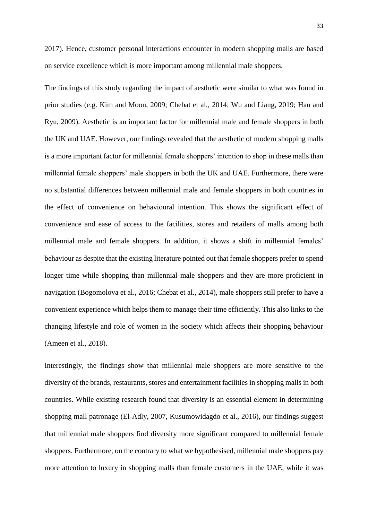2017). Hence, customer personal interactions encounter in modern shopping malls are based on service excellence which is more important among millennial male shoppers.

The findings of this study regarding the impact of aesthetic were similar to what was found in prior studies (e.g. Kim and Moon, 2009; Chebat et al., 2014; Wu and Liang, 2019; Han and Ryu, 2009). Aesthetic is an important factor for millennial male and female shoppers in both the UK and UAE. However, our findings revealed that the aesthetic of modern shopping malls is a more important factor for millennial female shoppers' intention to shop in these malls than millennial female shoppers' male shoppers in both the UK and UAE. Furthermore, there were no substantial differences between millennial male and female shoppers in both countries in the effect of convenience on behavioural intention. This shows the significant effect of convenience and ease of access to the facilities, stores and retailers of malls among both millennial male and female shoppers. In addition, it shows a shift in millennial females' behaviour as despite that the existing literature pointed out that female shoppers prefer to spend longer time while shopping than millennial male shoppers and they are more proficient in navigation (Bogomolova et al., 2016; Chebat et al., 2014), male shoppers still prefer to have a convenient experience which helps them to manage their time efficiently. This also links to the changing lifestyle and role of women in the society which affects their shopping behaviour (Ameen et al., 2018).

Interestingly, the findings show that millennial male shoppers are more sensitive to the diversity of the brands, restaurants, stores and entertainment facilities in shopping malls in both countries. While existing research found that diversity is an essential element in determining shopping mall patronage (El-Adly, 2007, Kusumowidagdo et al., 2016), our findings suggest that millennial male shoppers find diversity more significant compared to millennial female shoppers. Furthermore, on the contrary to what we hypothesised, millennial male shoppers pay more attention to luxury in shopping malls than female customers in the UAE, while it was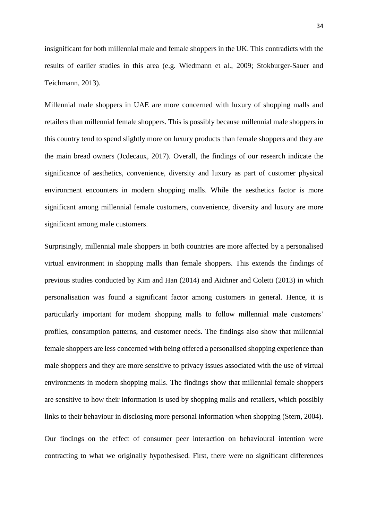insignificant for both millennial male and female shoppers in the UK. This contradicts with the results of earlier studies in this area (e.g. Wiedmann et al., 2009; Stokburger-Sauer and Teichmann, 2013).

Millennial male shoppers in UAE are more concerned with luxury of shopping malls and retailers than millennial female shoppers. This is possibly because millennial male shoppers in this country tend to spend slightly more on luxury products than female shoppers and they are the main bread owners (Jcdecaux, 2017). Overall, the findings of our research indicate the significance of aesthetics, convenience, diversity and luxury as part of customer physical environment encounters in modern shopping malls. While the aesthetics factor is more significant among millennial female customers, convenience, diversity and luxury are more significant among male customers.

Surprisingly, millennial male shoppers in both countries are more affected by a personalised virtual environment in shopping malls than female shoppers. This extends the findings of previous studies conducted by Kim and Han (2014) and Aichner and Coletti (2013) in which personalisation was found a significant factor among customers in general. Hence, it is particularly important for modern shopping malls to follow millennial male customers' profiles, consumption patterns, and customer needs. The findings also show that millennial female shoppers are less concerned with being offered a personalised shopping experience than male shoppers and they are more sensitive to privacy issues associated with the use of virtual environments in modern shopping malls. The findings show that millennial female shoppers are sensitive to how their information is used by shopping malls and retailers, which possibly links to their behaviour in disclosing more personal information when shopping (Stern, 2004).

Our findings on the effect of consumer peer interaction on behavioural intention were contracting to what we originally hypothesised. First, there were no significant differences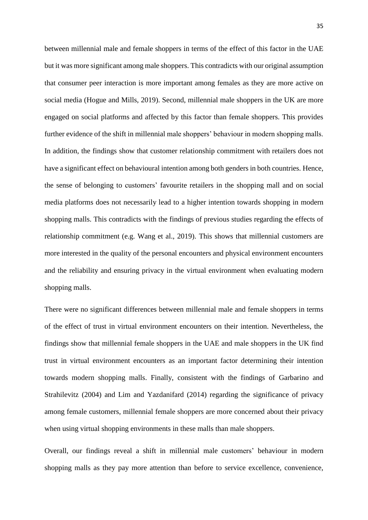between millennial male and female shoppers in terms of the effect of this factor in the UAE but it was more significant among male shoppers. This contradicts with our original assumption that consumer peer interaction is more important among females as they are more active on social media (Hogue and Mills, 2019). Second, millennial male shoppers in the UK are more engaged on social platforms and affected by this factor than female shoppers. This provides further evidence of the shift in millennial male shoppers' behaviour in modern shopping malls. In addition, the findings show that customer relationship commitment with retailers does not have a significant effect on behavioural intention among both genders in both countries. Hence, the sense of belonging to customers' favourite retailers in the shopping mall and on social media platforms does not necessarily lead to a higher intention towards shopping in modern shopping malls. This contradicts with the findings of previous studies regarding the effects of relationship commitment (e.g. Wang et al., 2019). This shows that millennial customers are more interested in the quality of the personal encounters and physical environment encounters and the reliability and ensuring privacy in the virtual environment when evaluating modern shopping malls.

There were no significant differences between millennial male and female shoppers in terms of the effect of trust in virtual environment encounters on their intention. Nevertheless, the findings show that millennial female shoppers in the UAE and male shoppers in the UK find trust in virtual environment encounters as an important factor determining their intention towards modern shopping malls. Finally, consistent with the findings of Garbarino and Strahilevitz (2004) and Lim and Yazdanifard (2014) regarding the significance of privacy among female customers, millennial female shoppers are more concerned about their privacy when using virtual shopping environments in these malls than male shoppers.

Overall, our findings reveal a shift in millennial male customers' behaviour in modern shopping malls as they pay more attention than before to service excellence, convenience,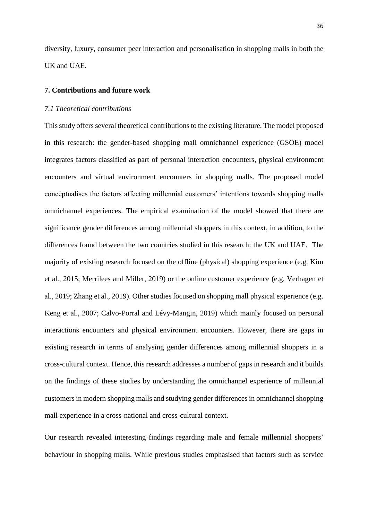diversity, luxury, consumer peer interaction and personalisation in shopping malls in both the UK and UAE.

# **7. Contributions and future work**

#### *7.1 Theoretical contributions*

This study offers several theoretical contributions to the existing literature. The model proposed in this research: the gender-based shopping mall omnichannel experience (GSOE) model integrates factors classified as part of personal interaction encounters, physical environment encounters and virtual environment encounters in shopping malls. The proposed model conceptualises the factors affecting millennial customers' intentions towards shopping malls omnichannel experiences. The empirical examination of the model showed that there are significance gender differences among millennial shoppers in this context, in addition, to the differences found between the two countries studied in this research: the UK and UAE. The majority of existing research focused on the offline (physical) shopping experience (e.g. Kim et al., 2015; Merrilees and Miller, 2019) or the online customer experience (e.g. Verhagen et al., 2019; Zhang et al., 2019). Other studies focused on shopping mall physical experience (e.g. Keng et al., 2007; Calvo-Porral and Lévy-Mangin, 2019) which mainly focused on personal interactions encounters and physical environment encounters. However, there are gaps in existing research in terms of analysing gender differences among millennial shoppers in a cross-cultural context. Hence, this research addresses a number of gaps in research and it builds on the findings of these studies by understanding the omnichannel experience of millennial customers in modern shopping malls and studying gender differences in omnichannel shopping mall experience in a cross-national and cross-cultural context.

Our research revealed interesting findings regarding male and female millennial shoppers' behaviour in shopping malls. While previous studies emphasised that factors such as service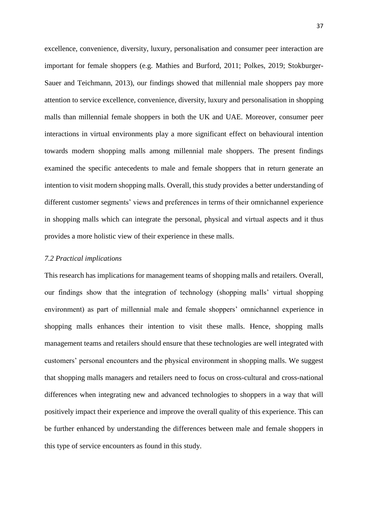excellence, convenience, diversity, luxury, personalisation and consumer peer interaction are important for female shoppers (e.g. Mathies and Burford, 2011; Polkes, 2019; Stokburger-Sauer and Teichmann, 2013), our findings showed that millennial male shoppers pay more attention to service excellence, convenience, diversity, luxury and personalisation in shopping malls than millennial female shoppers in both the UK and UAE. Moreover, consumer peer interactions in virtual environments play a more significant effect on behavioural intention towards modern shopping malls among millennial male shoppers. The present findings examined the specific antecedents to male and female shoppers that in return generate an intention to visit modern shopping malls. Overall, this study provides a better understanding of different customer segments' views and preferences in terms of their omnichannel experience in shopping malls which can integrate the personal, physical and virtual aspects and it thus provides a more holistic view of their experience in these malls.

# *7.2 Practical implications*

This research has implications for management teams of shopping malls and retailers. Overall, our findings show that the integration of technology (shopping malls' virtual shopping environment) as part of millennial male and female shoppers' omnichannel experience in shopping malls enhances their intention to visit these malls. Hence, shopping malls management teams and retailers should ensure that these technologies are well integrated with customers' personal encounters and the physical environment in shopping malls. We suggest that shopping malls managers and retailers need to focus on cross-cultural and cross-national differences when integrating new and advanced technologies to shoppers in a way that will positively impact their experience and improve the overall quality of this experience. This can be further enhanced by understanding the differences between male and female shoppers in this type of service encounters as found in this study.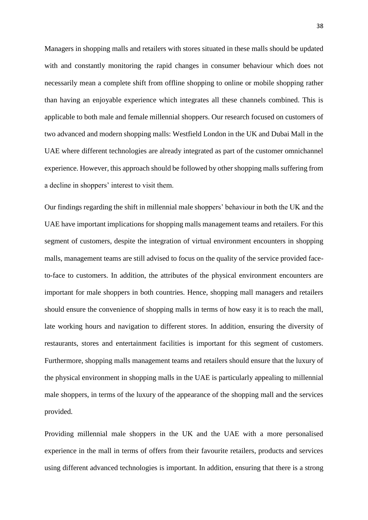Managers in shopping malls and retailers with stores situated in these malls should be updated with and constantly monitoring the rapid changes in consumer behaviour which does not necessarily mean a complete shift from offline shopping to online or mobile shopping rather than having an enjoyable experience which integrates all these channels combined. This is applicable to both male and female millennial shoppers. Our research focused on customers of two advanced and modern shopping malls: Westfield London in the UK and Dubai Mall in the UAE where different technologies are already integrated as part of the customer omnichannel experience. However, this approach should be followed by other shopping malls suffering from a decline in shoppers' interest to visit them.

Our findings regarding the shift in millennial male shoppers' behaviour in both the UK and the UAE have important implications for shopping malls management teams and retailers. For this segment of customers, despite the integration of virtual environment encounters in shopping malls, management teams are still advised to focus on the quality of the service provided faceto-face to customers. In addition, the attributes of the physical environment encounters are important for male shoppers in both countries. Hence, shopping mall managers and retailers should ensure the convenience of shopping malls in terms of how easy it is to reach the mall, late working hours and navigation to different stores. In addition, ensuring the diversity of restaurants, stores and entertainment facilities is important for this segment of customers. Furthermore, shopping malls management teams and retailers should ensure that the luxury of the physical environment in shopping malls in the UAE is particularly appealing to millennial male shoppers, in terms of the luxury of the appearance of the shopping mall and the services provided.

Providing millennial male shoppers in the UK and the UAE with a more personalised experience in the mall in terms of offers from their favourite retailers, products and services using different advanced technologies is important. In addition, ensuring that there is a strong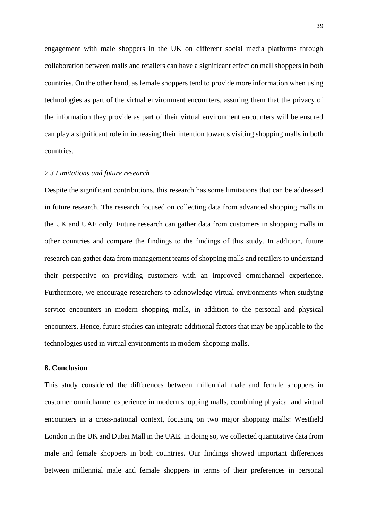engagement with male shoppers in the UK on different social media platforms through collaboration between malls and retailers can have a significant effect on mall shoppers in both countries. On the other hand, as female shoppers tend to provide more information when using technologies as part of the virtual environment encounters, assuring them that the privacy of the information they provide as part of their virtual environment encounters will be ensured can play a significant role in increasing their intention towards visiting shopping malls in both countries.

# *7.3 Limitations and future research*

Despite the significant contributions, this research has some limitations that can be addressed in future research. The research focused on collecting data from advanced shopping malls in the UK and UAE only. Future research can gather data from customers in shopping malls in other countries and compare the findings to the findings of this study. In addition, future research can gather data from management teams of shopping malls and retailers to understand their perspective on providing customers with an improved omnichannel experience. Furthermore, we encourage researchers to acknowledge virtual environments when studying service encounters in modern shopping malls, in addition to the personal and physical encounters. Hence, future studies can integrate additional factors that may be applicable to the technologies used in virtual environments in modern shopping malls.

# **8. Conclusion**

This study considered the differences between millennial male and female shoppers in customer omnichannel experience in modern shopping malls, combining physical and virtual encounters in a cross-national context, focusing on two major shopping malls: Westfield London in the UK and Dubai Mall in the UAE. In doing so, we collected quantitative data from male and female shoppers in both countries. Our findings showed important differences between millennial male and female shoppers in terms of their preferences in personal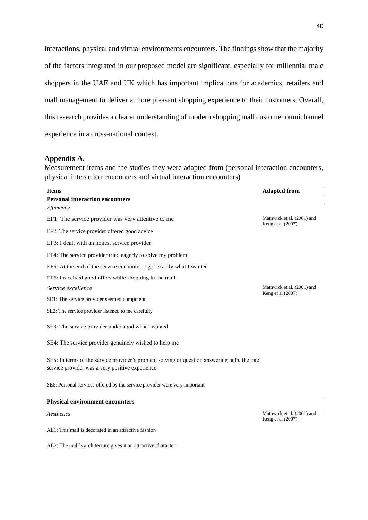interactions, physical and virtual environments encounters. The findings show that the majority of the factors integrated in our proposed model are significant, especially for millennial male shoppers in the UAE and UK which has important implications for academics, retailers and mall management to deliver a more pleasant shopping experience to their customers. Overall, this research provides a clearer understanding of modern shopping mall customer omnichannel experience in a cross-national context.

# **Appendix A.**

Measurement items and the studies they were adapted from (personal interaction encounters, physical interaction encounters and virtual interaction encounters)

| <b>Items</b>                                                                                                                                    | <b>Adapted from</b>                             |
|-------------------------------------------------------------------------------------------------------------------------------------------------|-------------------------------------------------|
| <b>Personal interaction encounters</b>                                                                                                          |                                                 |
| Efficiency                                                                                                                                      |                                                 |
| EF1: The service provider was very attentive to me                                                                                              | Mathwick et al. (2001) and<br>Keng et al (2007) |
| EF2: The service provider offered good advice                                                                                                   |                                                 |
| EF3: I dealt with an honest service provider                                                                                                    |                                                 |
| EF4: The service provider tried eagerly to solve my problem                                                                                     |                                                 |
| EF5: At the end of the service encounter, I got exactly what I wanted                                                                           |                                                 |
| EF6: I received good offers while shopping in the mall                                                                                          |                                                 |
| Service excellence                                                                                                                              | Mathwick et al. (2001) and<br>Keng et al (2007) |
| SE1: The service provider seemed competent                                                                                                      |                                                 |
| SE2: The service provider listened to me carefully                                                                                              |                                                 |
| SE3: The service provider understood what I wanted                                                                                              |                                                 |
| SE4: The service provider genuinely wished to help me                                                                                           |                                                 |
| SE5: In terms of the service provider's problem solving or question answering help, the inte<br>service provider was a very positive experience |                                                 |
| SE6: Personal services offered by the service provider were very important                                                                      |                                                 |
| <b>Physical environment encounters</b>                                                                                                          |                                                 |
| Aesthetics                                                                                                                                      | Mathwick et al. (2001) and<br>Keng et al (2007) |
| AE1: This mall is decorated in an attractive fashion                                                                                            |                                                 |

AE2: The mall's architecture gives it an attractive character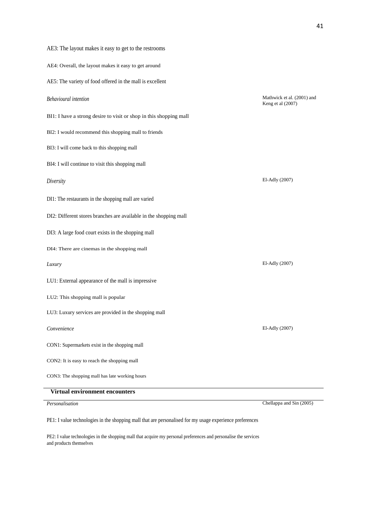| AE3: The layout makes it easy to get to the restrooms              |                                                 |
|--------------------------------------------------------------------|-------------------------------------------------|
| AE4: Overall, the layout makes it easy to get around               |                                                 |
| AE5: The variety of food offered in the mall is excellent          |                                                 |
| <b>Behavioural</b> intention                                       | Mathwick et al. (2001) and<br>Keng et al (2007) |
| BI1: I have a strong desire to visit or shop in this shopping mall |                                                 |
| BI2: I would recommend this shopping mall to friends               |                                                 |
| BI3: I will come back to this shopping mall                        |                                                 |
| BI4: I will continue to visit this shopping mall                   |                                                 |
| Diversity                                                          | El-Adly (2007)                                  |
| DI1: The restaurants in the shopping mall are varied               |                                                 |
| DI2: Different stores branches are available in the shopping mall  |                                                 |
| DI3: A large food court exists in the shopping mall                |                                                 |
| DI4: There are cinemas in the shopping mall                        |                                                 |
| Luxury                                                             | El-Adly (2007)                                  |
| LU1: External appearance of the mall is impressive                 |                                                 |
| LU2: This shopping mall is popular                                 |                                                 |
| LU3: Luxury services are provided in the shopping mall             |                                                 |
| Convenience                                                        | El-Adly (2007)                                  |
| CON1: Supermarkets exist in the shopping mall                      |                                                 |
| CON2: It is easy to reach the shopping mall                        |                                                 |
| CON3: The shopping mall has late working hours                     |                                                 |
| Virtual environment encounters                                     |                                                 |

#### *Personalisation*

PE1: I value technologies in the shopping mall that are personalised for my usage experience preferences

PE2: I value technologies in the shopping mall that acquire my personal preferences and personalise the services and products themselves

Chellappa and Sin (2005)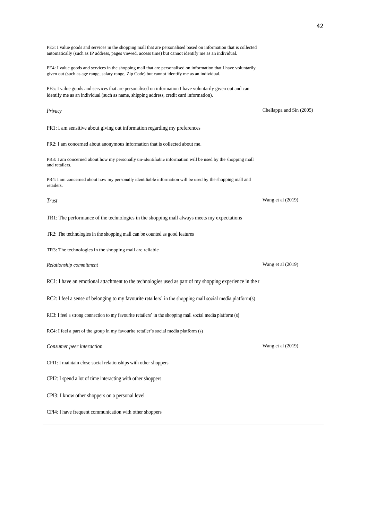| PE3: I value goods and services in the shopping mall that are personalised based on information that is collected<br>automatically (such as IP address, pages viewed, access time) but cannot identify me as an individual. |                          |
|-----------------------------------------------------------------------------------------------------------------------------------------------------------------------------------------------------------------------------|--------------------------|
| PE4: I value goods and services in the shopping mall that are personalised on information that I have voluntarily<br>given out (such as age range, salary range, Zip Code) but cannot identify me as an individual.         |                          |
| PE5: I value goods and services that are personalised on information I have voluntarily given out and can<br>identify me as an individual (such as name, shipping address, credit card information).                        |                          |
| Privacy                                                                                                                                                                                                                     | Chellappa and Sin (2005) |
| PR1: I am sensitive about giving out information regarding my preferences                                                                                                                                                   |                          |
| PR2: I am concerned about anonymous information that is collected about me.                                                                                                                                                 |                          |
| PR3: I am concerned about how my personally un-identifiable information will be used by the shopping mall<br>and retailers.                                                                                                 |                          |
| PR4: I am concerned about how my personally identifiable information will be used by the shopping mall and<br>retailers.                                                                                                    |                          |
| Trust                                                                                                                                                                                                                       | Wang et al (2019)        |
| TR1: The performance of the technologies in the shopping mall always meets my expectations                                                                                                                                  |                          |
| TR2: The technologies in the shopping mall can be counted as good features                                                                                                                                                  |                          |
| TR3: The technologies in the shopping mall are reliable                                                                                                                                                                     |                          |
| Relationship commitment                                                                                                                                                                                                     | Wang et al (2019)        |
| RC1: I have an emotional attachment to the technologies used as part of my shopping experience in the 1                                                                                                                     |                          |
| RC2: I feel a sense of belonging to my favourite retailers' in the shopping mall social media platform(s)                                                                                                                   |                          |
| RC3: I feel a strong connection to my favourite retailers' in the shopping mall social media platform (s)                                                                                                                   |                          |
| RC4: I feel a part of the group in my favourite retailer's social media platform (s)                                                                                                                                        |                          |
| Consumer peer interaction                                                                                                                                                                                                   | Wang et al (2019)        |
| CPI1: I maintain close social relationships with other shoppers                                                                                                                                                             |                          |
| CPI2: I spend a lot of time interacting with other shoppers                                                                                                                                                                 |                          |
| CPI3: I know other shoppers on a personal level                                                                                                                                                                             |                          |
| CPI4: I have frequent communication with other shoppers                                                                                                                                                                     |                          |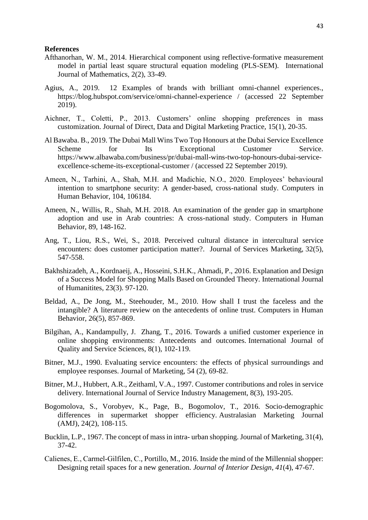# **References**

- Afthanorhan, W. M., 2014. Hierarchical component using reflective-formative measurement model in partial least square structural equation modeling (PLS-SEM). International Journal of Mathematics, 2(2), 33-49.
- Agius, A., 2019. 12 Examples of brands with brilliant omni-channel experiences., [https://blog.hubspot.com/service/omni-channel-experience /](https://blog.hubspot.com/service/omni-channel-experience%20/) (accessed 22 September 2019).
- Aichner, T., Coletti, P., 2013. Customers' online shopping preferences in mass customization. Journal of Direct, Data and Digital Marketing Practice, 15(1), 20-35.
- Al Bawaba. B., 2019. The Dubai Mall Wins Two Top Honours at the Dubai Service Excellence Scheme for Its Exceptional Customer Service. [https://www.albawaba.com/business/pr/dubai-mall-wins-two-top-honours-dubai-service](https://www.albawaba.com/business/pr/dubai-mall-wins-two-top-honours-dubai-service-excellence-scheme-its-exceptional-customer)[excellence-scheme-its-exceptional-customer](https://www.albawaba.com/business/pr/dubai-mall-wins-two-top-honours-dubai-service-excellence-scheme-its-exceptional-customer) / (accessed 22 September 2019).
- Ameen, N., Tarhini, A., Shah, M.H. and Madichie, N.O., 2020. Employees' behavioural intention to smartphone security: A gender-based, cross-national study. Computers in Human Behavior, 104, 106184.
- Ameen, N., Willis, R., Shah, M.H. 2018. An examination of the gender gap in smartphone adoption and use in Arab countries: A cross-national study. Computers in Human Behavior, 89, 148-162.
- Ang, T., Liou, R.S., Wei, S., 2018. Perceived cultural distance in intercultural service encounters: does customer participation matter?. Journal of Services Marketing, 32(5), 547-558.
- Bakhshizadeh, A., Kordnaeij, A., Hosseini, S.H.K., Ahmadi, P., 2016. Explanation and Design of a Success Model for Shopping Malls Based on Grounded Theory. International Journal of Humanitites, 23(3). 97-120.
- Beldad, A., De Jong, M., Steehouder, M., 2010. How shall I trust the faceless and the intangible? A literature review on the antecedents of online trust. Computers in Human Behavior, 26(5), 857-869.
- Bilgihan, A., Kandampully, J. Zhang, T., 2016. Towards a unified customer experience in online shopping environments: Antecedents and outcomes. International Journal of Quality and Service Sciences, 8(1), 102-119.
- Bitner, M.J., 1990. Evaluating service encounters: the effects of physical surroundings and employee responses. Journal of Marketing, 54 (2), 69-82.
- Bitner, M.J., Hubbert, A.R., Zeithaml, V.A., 1997. Customer contributions and roles in service delivery. International Journal of Service Industry Management, 8(3), 193-205.
- Bogomolova, S., Vorobyev, K., Page, B., Bogomolov, T., 2016. Socio-demographic differences in supermarket shopper efficiency. Australasian Marketing Journal (AMJ), 24(2), 108-115.
- Bucklin, L.P., 1967. The concept of mass in intra- urban shopping. Journal of Marketing, 31(4), 37-42.
- Calienes, E., Carmel‐Gilfilen, C., Portillo, M., 2016. Inside the mind of the Millennial shopper: Designing retail spaces for a new generation. *Journal of Interior Design*, *41*(4), 47-67.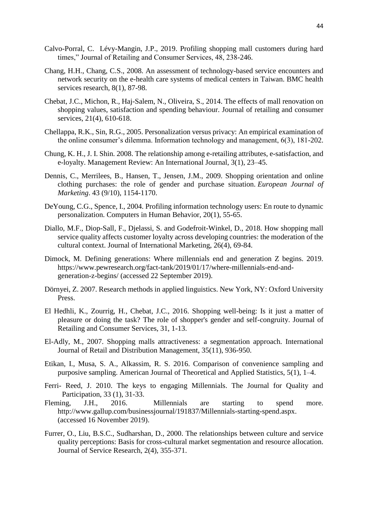- Calvo-Porral, C. Lévy-Mangin, J.P., 2019. Profiling shopping mall customers during hard times," Journal of Retailing and Consumer Services, 48, 238-246.
- Chang, H.H., Chang, C.S., 2008. An assessment of technology-based service encounters and network security on the e-health care systems of medical centers in Taiwan. BMC health services research, 8(1), 87-98.
- Chebat, J.C., Michon, R., Haj-Salem, N., Oliveira, S., 2014. The effects of mall renovation on shopping values, satisfaction and spending behaviour. Journal of retailing and consumer services, 21(4), 610-618.
- Chellappa, R.K., Sin, R.G., 2005. Personalization versus privacy: An empirical examination of the online consumer's dilemma. Information technology and management, 6(3), 181-202.
- Chung, K. H., J. I. Shin. 2008. The relationship among e-retailing attributes, e-satisfaction, and e-loyalty. Management Review: An International Journal, 3(1), 23–45.
- Dennis, C., Merrilees, B., Hansen, T., Jensen, J.M., 2009. Shopping orientation and online clothing purchases: the role of gender and purchase situation. *European Journal of Marketing*. 43 (9/10), 1154-1170.
- DeYoung, C.G., Spence, I., 2004. Profiling information technology users: En route to dynamic personalization. Computers in Human Behavior, 20(1), 55-65.
- Diallo, M.F., Diop-Sall, F., Djelassi, S. and Godefroit-Winkel, D., 2018. How shopping mall service quality affects customer loyalty across developing countries: the moderation of the cultural context. Journal of International Marketing, 26(4), 69-84.
- Dimock, M. Defining generations: Where millennials end and generation Z begins. 2019. [https://www.pewresearch.org/fact-tank/2019/01/17/where-millennials-end-and](https://www.pewresearch.org/fact-tank/2019/01/17/where-millennials-end-and-generation-z-begins/)[generation-z-begins/](https://www.pewresearch.org/fact-tank/2019/01/17/where-millennials-end-and-generation-z-begins/) (accessed 22 September 2019).
- Dörnyei, Z. 2007. Research methods in applied linguistics. New York, NY: Oxford University Press.
- El Hedhli, K., Zourrig, H., Chebat, J.C., 2016. Shopping well-being: Is it just a matter of pleasure or doing the task? The role of shopper's gender and self-congruity. Journal of Retailing and Consumer Services, 31, 1-13.
- El-Adly, M., 2007. Shopping malls attractiveness: a segmentation approach. International Journal of Retail and Distribution Management, 35(11), 936-950.
- Etikan, I., Musa, S. A., Alkassim, R. S. 2016. Comparison of convenience sampling and purposive sampling. American Journal of Theoretical and Applied Statistics, 5(1), 1–4.
- Ferri- Reed, J. 2010. The keys to engaging Millennials. The Journal for Quality and Participation, 33 (1), 31-33.
- Fleming, J.H., 2016. Millennials are starting to spend more. [http://www.gallup.com/businessjournal/191837/Millennials-starting-spend.aspx.](http://www.gallup.com/businessjournal/191837/Millennials-starting-spend.aspx) (accessed 16 November 2019).
- Furrer, O., Liu, B.S.C., Sudharshan, D., 2000. The relationships between culture and service quality perceptions: Basis for cross-cultural market segmentation and resource allocation. Journal of Service Research, 2(4), 355-371.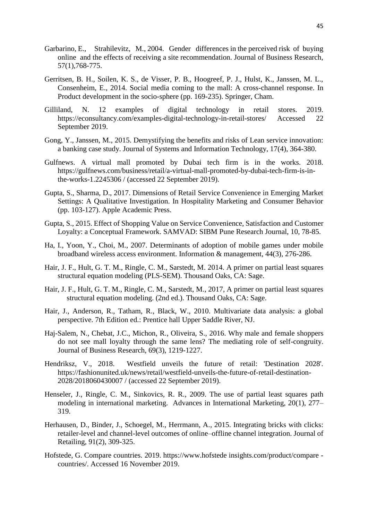- Garbarino, E., Strahilevitz, M., 2004. Gender differences in the perceived risk of buying online and the effects of receiving a site recommendation. Journal of Business Research, 57(1),768-775.
- Gerritsen, B. H., Soilen, K. S., de Visser, P. B., Hoogreef, P. J., Hulst, K., Janssen, M. L., Consenheim, E., 2014. Social media coming to the mall: A cross-channel response. In Product development in the socio-sphere (pp. 169-235). Springer, Cham.
- Gilliland, N. 12 examples of digital technology in retail stores. 2019. <https://econsultancy.com/examples-digital-technology-in-retail-stores/> Accessed 22 September 2019.
- Gong, Y., Janssen, M., 2015. Demystifying the benefits and risks of Lean service innovation: a banking case study. Journal of Systems and Information Technology, 17(4), 364-380.
- Gulfnews. A virtual mall promoted by Dubai tech firm is in the works. 2018. [https://gulfnews.com/business/retail/a-virtual-mall-promoted-by-dubai-tech-firm-is-in](https://gulfnews.com/business/retail/a-virtual-mall-promoted-by-dubai-tech-firm-is-in-the-works-1.2245306%20/)[the-works-1.2245306 /](https://gulfnews.com/business/retail/a-virtual-mall-promoted-by-dubai-tech-firm-is-in-the-works-1.2245306%20/) (accessed 22 September 2019).
- Gupta, S., Sharma, D., 2017. Dimensions of Retail Service Convenience in Emerging Market Settings: A Qualitative Investigation. In Hospitality Marketing and Consumer Behavior (pp. 103-127). Apple Academic Press.
- Gupta, S., 2015. Effect of Shopping Value on Service Convenience, Satisfaction and Customer Loyalty: a Conceptual Framework. SAMVAD: SIBM Pune Research Journal, 10, 78-85.
- Ha, I., Yoon, Y., Choi, M., 2007. Determinants of adoption of mobile games under mobile broadband wireless access environment. Information & management, 44(3), 276-286.
- Hair, J. F., Hult, G. T. M., Ringle, C. M., Sarstedt, M. 2014. A primer on partial least squares structural equation modeling (PLS-SEM). Thousand Oaks, CA: Sage.
- Hair, J. F., Hult, G. T. M., Ringle, C. M., Sarstedt, M., 2017, A primer on partial least squares structural equation modeling. (2nd ed.). Thousand Oaks, CA: Sage.
- Hair, J., Anderson, R., Tatham, R., Black, W., 2010. Multivariate data analysis: a global perspective. 7th Edition ed.: Prentice hall Upper Saddle River, NJ.
- Haj-Salem, N., Chebat, J.C., Michon, R., Oliveira, S., 2016. Why male and female shoppers do not see mall loyalty through the same lens? The mediating role of self-congruity. Journal of Business Research, 69(3), 1219-1227.
- Hendriksz, V., 2018. Westfield unveils the future of retail: 'Destination 2028'. [https://fashionunited.uk/news/retail/westfield-unveils-the-future-of-retail-destination-](https://fashionunited.uk/news/retail/westfield-unveils-the-future-of-retail-destination-2028/2018060430007%20/)[2028/2018060430007 /](https://fashionunited.uk/news/retail/westfield-unveils-the-future-of-retail-destination-2028/2018060430007%20/) (accessed 22 September 2019).
- Henseler, J., Ringle, C. M., Sinkovics, R. R., 2009. The use of partial least squares path modeling in international marketing. Advances in International Marketing, 20(1), 277– 319.
- Herhausen, D., Binder, J., Schoegel, M., Herrmann, A., 2015. Integrating bricks with clicks: retailer-level and channel-level outcomes of online–offline channel integration. Journal of Retailing, 91(2), 309-325.
- Hofstede, G. Compare countries. 2019. https://www.hofstede insights.com/product/compare countries/. Accessed 16 November 2019.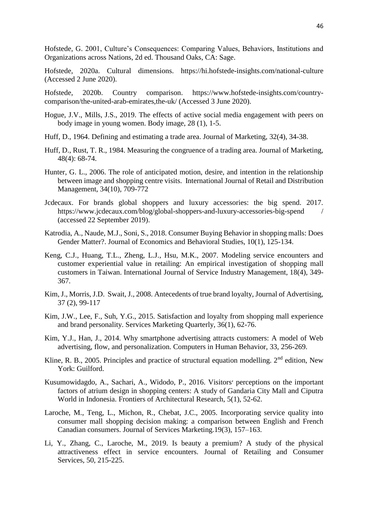Hofstede, G. 2001, Culture's Consequences: Comparing Values, Behaviors, Institutions and Organizations across Nations, 2d ed. Thousand Oaks, CA: Sage.

Hofstede, 2020a. Cultural dimensions. <https://hi.hofstede-insights.com/national-culture> (Accessed 2 June 2020).

Hofstede, 2020b. Country comparison. [https://www.hofstede-insights.com/country](https://www.hofstede-insights.com/country-comparison/the-united-arab-emirates,the-uk/)[comparison/the-united-arab-emirates,the-uk/](https://www.hofstede-insights.com/country-comparison/the-united-arab-emirates,the-uk/) (Accessed 3 June 2020).

- Hogue, J.V., Mills, J.S., 2019. The effects of active social media engagement with peers on body image in young women. Body image, 28 (1), 1-5.
- Huff, D., 1964. Defining and estimating a trade area. Journal of Marketing, 32(4), 34-38.
- Huff, D., Rust, T. R., 1984. Measuring the congruence of a trading area. Journal of Marketing, 48(4): 68-74.
- Hunter, G. L., 2006. The role of anticipated motion, desire, and intention in the relationship between image and shopping centre visits. International Journal of Retail and Distribution Management, 34(10), 709-772
- Jcdecaux. For brands global shoppers and luxury accessories: the big spend. 2017. [https://www.jcdecaux.com/blog/global-shoppers-and-luxury-accessories-big-spend /](https://www.jcdecaux.com/blog/global-shoppers-and-luxury-accessories-big-spend%20/) (accessed 22 September 2019).
- Katrodia, A., Naude, M.J., Soni, S., 2018. Consumer Buying Behavior in shopping malls: Does Gender Matter?. Journal of Economics and Behavioral Studies, 10(1), 125-134.
- Keng, C.J., Huang, T.L., Zheng, L.J., Hsu, M.K., 2007. Modeling service encounters and customer experiential value in retailing: An empirical investigation of shopping mall customers in Taiwan. International Journal of Service Industry Management, 18(4), 349- 367.
- Kim, J., Morris, J.D. Swait, J., 2008. Antecedents of true brand loyalty, Journal of Advertising, 37 (2), 99-117
- Kim, J.W., Lee, F., Suh, Y.G., 2015. Satisfaction and loyalty from shopping mall experience and brand personality. Services Marketing Quarterly, 36(1), 62-76.
- Kim, Y.J., Han, J., 2014. Why smartphone advertising attracts customers: A model of Web advertising, flow, and personalization. Computers in Human Behavior, 33, 256-269.
- Kline, R. B., 2005. Principles and practice of structural equation modelling.  $2<sup>nd</sup>$  edition, New York: Guilford.
- Kusumowidagdo, A., Sachari, A., Widodo, P., 2016. Visitors׳ perceptions on the important factors of atrium design in shopping centers: A study of Gandaria City Mall and Ciputra World in Indonesia. Frontiers of Architectural Research, 5(1), 52-62.
- Laroche, M., Teng, L., Michon, R., Chebat, J.C., 2005. Incorporating service quality into consumer mall shopping decision making: a comparison between English and French Canadian consumers. Journal of Services Marketing.19(3), 157–163.
- Li, Y., Zhang, C., Laroche, M., 2019. Is beauty a premium? A study of the physical attractiveness effect in service encounters. Journal of Retailing and Consumer Services, 50, 215-225.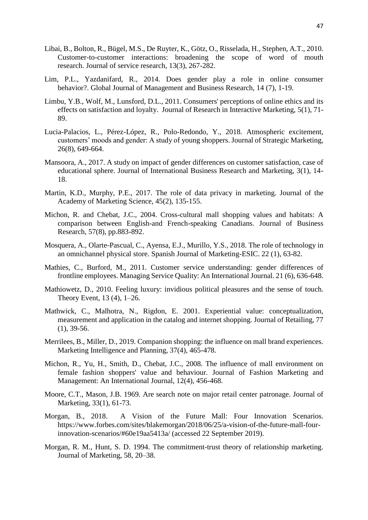- Libai, B., Bolton, R., Bügel, M.S., De Ruyter, K., Götz, O., Risselada, H., Stephen, A.T., 2010. Customer-to-customer interactions: broadening the scope of word of mouth research. Journal of service research, 13(3), 267-282.
- Lim, P.L., Yazdanifard, R., 2014. Does gender play a role in online consumer behavior?. Global Journal of Management and Business Research, 14 (7), 1-19.
- Limbu, Y.B., Wolf, M., Lunsford, D.L., 2011. Consumers' perceptions of online ethics and its effects on satisfaction and loyalty. Journal of Research in Interactive Marketing, 5(1), 71- 89.
- Lucia-Palacios, L., Pérez-López, R., Polo-Redondo, Y., 2018. Atmospheric excitement, customers' moods and gender: A study of young shoppers. Journal of Strategic Marketing, 26(8), 649-664.
- Mansoora, A., 2017. A study on impact of gender differences on customer satisfaction, case of educational sphere. Journal of International Business Research and Marketing, 3(1), 14- 18.
- Martin, K.D., Murphy, P.E., 2017. The role of data privacy in marketing. Journal of the Academy of Marketing Science, 45(2), 135-155.
- Michon, R. and Chebat, J.C., 2004. Cross-cultural mall shopping values and habitats: A comparison between English-and French-speaking Canadians. Journal of Business Research, 57(8), pp.883-892.
- Mosquera, A., Olarte-Pascual, C., Ayensa, E.J., Murillo, Y.S., 2018. The role of technology in an omnichannel physical store. Spanish Journal of Marketing-ESIC. 22 (1), 63-82.
- Mathies, C., Burford, M., 2011. Customer service understanding: gender differences of frontline employees. Managing Service Quality: An International Journal. 21 (6), 636-648.
- Mathiowetz, D., 2010. Feeling luxury: invidious political pleasures and the sense of touch. Theory Event, 13 (4), 1–26.
- Mathwick, C., Malhotra, N., Rigdon, E. 2001. Experiential value: conceptualization, measurement and application in the catalog and internet shopping. Journal of Retailing, 77 (1), 39-56.
- Merrilees, B., Miller, D., 2019. Companion shopping: the influence on mall brand experiences. Marketing Intelligence and Planning, 37(4), 465-478.
- Michon, R., Yu, H., Smith, D., Chebat, J.C., 2008. The influence of mall environment on female fashion shoppers' value and behaviour. Journal of Fashion Marketing and Management: An International Journal, 12(4), 456-468.
- Moore, C.T., Mason, J.B. 1969. Are search note on major retail center patronage. Journal of Marketing, 33(1), 61-73.
- Morgan, B., 2018. A Vision of the Future Mall: Four Innovation Scenarios. https://www.forbes.com/sites/blakemorgan/2018/06/25/a-vision-of-the-future-mall-fourinnovation-scenarios/#60e19aa5413a/ (accessed 22 September 2019).
- Morgan, R. M., Hunt, S. D. 1994. The commitment-trust theory of relationship marketing. Journal of Marketing, 58, 20–38.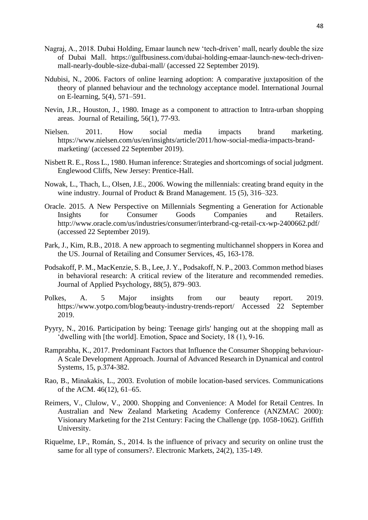- Nagraj, A., 2018. Dubai Holding, Emaar launch new 'tech-driven' mall, nearly double the size of Dubai Mall. [https://gulfbusiness.com/dubai-holding-emaar-launch-new-tech-driven](https://gulfbusiness.com/dubai-holding-emaar-launch-new-tech-driven-mall-nearly-double-size-dubai-mall/)[mall-nearly-double-size-dubai-mall/](https://gulfbusiness.com/dubai-holding-emaar-launch-new-tech-driven-mall-nearly-double-size-dubai-mall/) (accessed 22 September 2019).
- Ndubisi, N., 2006. Factors of online learning adoption: A comparative juxtaposition of the theory of planned behaviour and the technology acceptance model. International Journal on E-learning, 5(4), 571–591.
- Nevin, J.R., Houston, J., 1980. Image as a component to attraction to Intra-urban shopping areas. Journal of Retailing, 56(1), 77-93.
- Nielsen. 2011. How social media impacts brand marketing. [https://www.nielsen.com/us/en/insights/article/2011/how-social-media-impacts-brand](https://www.nielsen.com/us/en/insights/article/2011/how-social-media-impacts-brand-marketing/)[marketing/](https://www.nielsen.com/us/en/insights/article/2011/how-social-media-impacts-brand-marketing/) (accessed 22 September 2019).
- Nisbett R. E., Ross L., 1980. Human inference: Strategies and shortcomings of social judgment. Englewood Cliffs, New Jersey: Prentice-Hall.
- Nowak, L., Thach, L., Olsen, J.E., 2006. Wowing the millennials: creating brand equity in the wine industry. Journal of Product & Brand Management. 15 (5), 316–323.
- Oracle. 2015. A New Perspective on Millennials Segmenting a Generation for Actionable Insights for Consumer Goods Companies and Retailers. [http://www.oracle.com/us/industries/consumer/interbrand-cg-retail-cx-wp-2400662.pdf/](http://www.oracle.com/us/industries/consumer/interbrand-cg-retail-cx-wp-2400662.pdf) (accessed 22 September 2019).
- Park, J., Kim, R.B., 2018. A new approach to segmenting multichannel shoppers in Korea and the US. Journal of Retailing and Consumer Services, 45, 163-178.
- Podsakoff, P. M., MacKenzie, S. B., Lee, J. Y., Podsakoff, N. P., 2003. Common method biases in behavioral research: A critical review of the literature and recommended remedies. Journal of Applied Psychology, 88(5), 879–903.
- Polkes, A. 5 Major insights from our beauty report. 2019. <https://www.yotpo.com/blog/beauty-industry-trends-report/> Accessed 22 September 2019.
- Pyyry, N., 2016. Participation by being: Teenage girls' hanging out at the shopping mall as 'dwelling with [the world]. Emotion, Space and Society, 18 (1), 9-16.
- Ramprabha, K., 2017. Predominant Factors that Influence the Consumer Shopping behaviour-A Scale Development Approach. Journal of Advanced Research in Dynamical and control Systems, 15, p.374-382.
- Rao, B., Minakakis, L., 2003. Evolution of mobile location-based services. Communications of the ACM. 46(12), 61–65.
- Reimers, V., Clulow, V., 2000. Shopping and Convenience: A Model for Retail Centres. In Australian and New Zealand Marketing Academy Conference (ANZMAC 2000): Visionary Marketing for the 21st Century: Facing the Challenge (pp. 1058-1062). Griffith University.
- Riquelme, I.P., Román, S., 2014. Is the influence of privacy and security on online trust the same for all type of consumers?. Electronic Markets, 24(2), 135-149.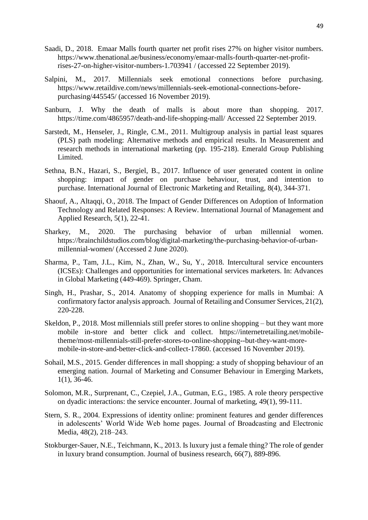- Saadi, D., 2018. Emaar Malls fourth quarter net profit rises 27% on higher visitor numbers. [https://www.thenational.ae/business/economy/emaar-malls-fourth-quarter-net-profit](https://www.thenational.ae/business/economy/emaar-malls-fourth-quarter-net-profit-rises-27-on-higher-visitor-numbers-1.703941%20/%20(accessed%2022%20September%202019)[rises-27-on-higher-visitor-numbers-1.703941 / \(accessed 22 September 2019\)](https://www.thenational.ae/business/economy/emaar-malls-fourth-quarter-net-profit-rises-27-on-higher-visitor-numbers-1.703941%20/%20(accessed%2022%20September%202019).
- Salpini, M., 2017. Millennials seek emotional connections before purchasing. [https://www.retaildive.com/news/millennials-seek-emotional-connections-before](https://www.retaildive.com/news/millennials-seek-emotional-connections-before-purchasing/445545/)[purchasing/445545/](https://www.retaildive.com/news/millennials-seek-emotional-connections-before-purchasing/445545/) (accessed 16 November 2019).
- Sanburn, J. Why the death of malls is about more than shopping. 2017. <https://time.com/4865957/death-and-life-shopping-mall/> Accessed 22 September 2019.
- Sarstedt, M., Henseler, J., Ringle, C.M., 2011. Multigroup analysis in partial least squares (PLS) path modeling: Alternative methods and empirical results. In Measurement and research methods in international marketing (pp. 195-218). Emerald Group Publishing Limited.
- Sethna, B.N., Hazari, S., Bergiel, B., 2017. Influence of user generated content in online shopping: impact of gender on purchase behaviour, trust, and intention to purchase. International Journal of Electronic Marketing and Retailing, 8(4), 344-371.
- Shaouf, A., Altaqqi, O., 2018. The Impact of Gender Differences on Adoption of Information Technology and Related Responses: A Review. International Journal of Management and Applied Research, 5(1), 22-41.
- Sharkey, M., 2020. The purchasing behavior of urban millennial women. [https://brainchildstudios.com/blog/digital-marketing/the-purchasing-behavior-of-urban](https://brainchildstudios.com/blog/digital-marketing/the-purchasing-behavior-of-urban-millennial-women/)[millennial-women/](https://brainchildstudios.com/blog/digital-marketing/the-purchasing-behavior-of-urban-millennial-women/) (Accessed 2 June 2020).
- Sharma, P., Tam, J.L., Kim, N., Zhan, W., Su, Y., 2018. Intercultural service encounters (ICSEs): Challenges and opportunities for international services marketers. In: Advances in Global Marketing (449-469). Springer, Cham.
- Singh, H., Prashar, S., 2014. Anatomy of shopping experience for malls in Mumbai: A confirmatory factor analysis approach. Journal of Retailing and Consumer Services, 21(2), 220-228.
- [Skeldon,](https://internetretailing.net/paul-skeldon) P., 2018. Most millennials still prefer stores to online shopping but they want more mobile in-store and better click and collect. [https://internetretailing.net/mobile](https://internetretailing.net/mobile-theme/most-millennials-still-prefer-stores-to-online-shopping--but-they-want-more-mobile-in-store-and-better-click-and-collect-17860)[theme/most-millennials-still-prefer-stores-to-online-shopping--but-they-want-more](https://internetretailing.net/mobile-theme/most-millennials-still-prefer-stores-to-online-shopping--but-they-want-more-mobile-in-store-and-better-click-and-collect-17860)[mobile-in-store-and-better-click-and-collect-17860.](https://internetretailing.net/mobile-theme/most-millennials-still-prefer-stores-to-online-shopping--but-they-want-more-mobile-in-store-and-better-click-and-collect-17860) (accessed 16 November 2019).
- Sohail, M.S., 2015. Gender differences in mall shopping: a study of shopping behaviour of an emerging nation. Journal of Marketing and Consumer Behaviour in Emerging Markets, 1(1), 36-46.
- Solomon, M.R., Surprenant, C., Czepiel, J.A., Gutman, E.G., 1985. A role theory perspective on dyadic interactions: the service encounter. Journal of marketing, 49(1), 99-111.
- Stern, S. R., 2004. Expressions of identity online: prominent features and gender differences in adolescents' World Wide Web home pages. Journal of Broadcasting and Electronic Media, 48(2), 218–243.
- Stokburger-Sauer, N.E., Teichmann, K., 2013. Is luxury just a female thing? The role of gender in luxury brand consumption. Journal of business research, 66(7), 889-896.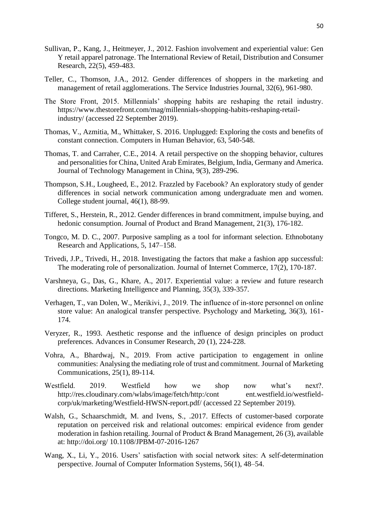- Sullivan, P., Kang, J., Heitmeyer, J., 2012. Fashion involvement and experiential value: Gen Y retail apparel patronage. The International Review of Retail, Distribution and Consumer Research, 22(5), 459-483.
- Teller, C., Thomson, J.A., 2012. Gender differences of shoppers in the marketing and management of retail agglomerations. The Service Industries Journal, 32(6), 961-980.
- The Store Front, 2015. Millennials' shopping habits are reshaping the retail industry. [https://www.thestorefront.com/mag/millennials-shopping-habits-reshaping-retail](https://www.thestorefront.com/mag/millennials-shopping-habits-reshaping-retail-industry/)[industry/](https://www.thestorefront.com/mag/millennials-shopping-habits-reshaping-retail-industry/) (accessed 22 September 2019).
- Thomas, V., Azmitia, M., Whittaker, S. 2016. Unplugged: Exploring the costs and benefits of constant connection. Computers in Human Behavior, 63, 540-548.
- Thomas, T. and Carraher, C.E., 2014. A retail perspective on the shopping behavior, cultures and personalities for China, United Arab Emirates, Belgium, India, Germany and America. Journal of Technology Management in China, 9(3), 289-296.
- Thompson, S.H., Lougheed, E., 2012. Frazzled by Facebook? An exploratory study of gender differences in social network communication among undergraduate men and women. College student journal, 46(1), 88-99.
- Tifferet, S., Herstein, R., 2012. Gender differences in brand commitment, impulse buying, and hedonic consumption. Journal of Product and Brand Management, 21(3), 176-182.
- Tongco, M. D. C., 2007. Purposive sampling as a tool for informant selection. Ethnobotany Research and Applications, 5, 147–158.
- Trivedi, J.P., Trivedi, H., 2018. Investigating the factors that make a fashion app successful: The moderating role of personalization. Journal of Internet Commerce, 17(2), 170-187.
- Varshneya, G., Das, G., Khare, A., 2017. Experiential value: a review and future research directions. Marketing Intelligence and Planning, 35(3), 339-357.
- Verhagen, T., van Dolen, W., Merikivi, J., 2019. The influence of in‐store personnel on online store value: An analogical transfer perspective. Psychology and Marketing, 36(3), 161- 174.
- Veryzer, R., 1993. Aesthetic response and the influence of design principles on product preferences. Advances in Consumer Research, 20 (1), 224-228.
- Vohra, A., Bhardwaj, N., 2019. From active participation to engagement in online communities: Analysing the mediating role of trust and commitment. Journal of Marketing Communications, 25(1), 89-114.
- Westfield. 2019. Westfield how we shop now what's next?. [http://res.cloudinary.com/wlabs/image/fetch/http:/cont ent.westfield.io/westfield](http://res.cloudinary.com/wlabs/image/fetch/http:/cont%20ent.westfield.io/westfield-corp/uk/marketing/Westfield-HWSN-report.pdf)[corp/uk/marketing/Westfield-HWSN-report.pdf/](http://res.cloudinary.com/wlabs/image/fetch/http:/cont%20ent.westfield.io/westfield-corp/uk/marketing/Westfield-HWSN-report.pdf) (accessed 22 September 2019).
- Walsh, G., Schaarschmidt, M. and Ivens, S., .2017. Effects of customer-based corporate reputation on perceived risk and relational outcomes: empirical evidence from gender moderation in fashion retailing. Journal of Product & Brand Management, 26 (3), available at: http://doi.org/ 10.1108/JPBM-07-2016-1267
- Wang, X., Li, Y., 2016. Users' satisfaction with social network sites: A self-determination perspective. Journal of Computer Information Systems, 56(1), 48–54.